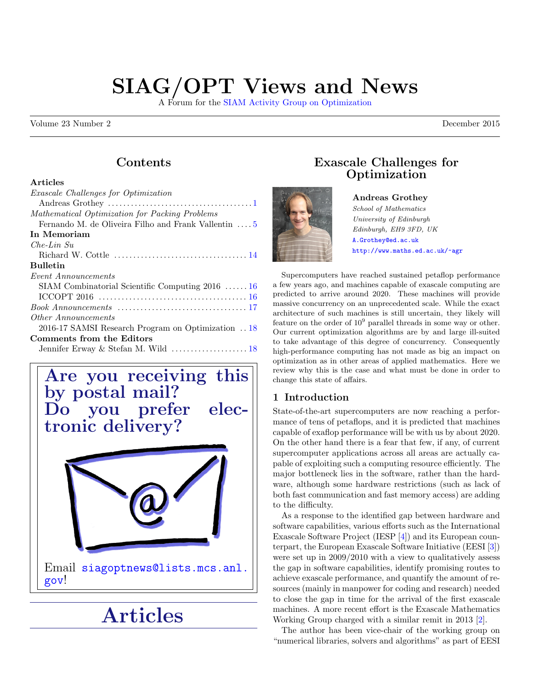# SIAG/OPT Views and News

A Forum for the [SIAM Activity Group on Optimization](https://www.siam.org/activity/optimization)

Volume 23 Number 2 December 2015

# Contents

### Articles

| <i>Exascale Challenges for Optimization</i>          |
|------------------------------------------------------|
|                                                      |
| Mathematical Optimization for Packing Problems       |
| Fernando M. de Oliveira Filho and Frank Vallentin  5 |
| In Memoriam                                          |
| $Che-Lin$ $Su$                                       |
|                                                      |
| <b>Bulletin</b>                                      |
| <i>Event Announcements</i>                           |
| SIAM Combinatorial Scientific Computing $2016$ 16    |
|                                                      |
|                                                      |
| Other Announcements                                  |
| 2016-17 SAMSI Research Program on Optimization  18   |
| Comments from the Editors                            |
| Jennifer Erway & Stefan M. Wild  18                  |
|                                                      |



# <span id="page-0-0"></span>Articles

## Exascale Challenges for **Optimization**



Andreas Grothey School of Mathematics University of Edinburgh Edinburgh, EH9 3FD, UK <A.Grothey@ed.ac.uk> <http://www.maths.ed.ac.uk/~agr>

Supercomputers have reached sustained petaflop performance a few years ago, and machines capable of exascale computing are predicted to arrive around 2020. These machines will provide massive concurrency on an unprecedented scale. While the exact architecture of such machines is still uncertain, they likely will feature on the order of  $10^9$  parallel threads in some way or other. Our current optimization algorithms are by and large ill-suited to take advantage of this degree of concurrency. Consequently high-performance computing has not made as big an impact on optimization as in other areas of applied mathematics. Here we review why this is the case and what must be done in order to change this state of affairs.

## 1 Introduction

State-of-the-art supercomputers are now reaching a performance of tens of petaflops, and it is predicted that machines capable of exaflop performance will be with us by about 2020. On the other hand there is a fear that few, if any, of current supercomputer applications across all areas are actually capable of exploiting such a computing resource efficiently. The major bottleneck lies in the software, rather than the hardware, although some hardware restrictions (such as lack of both fast communication and fast memory access) are adding to the difficulty.

As a response to the identified gap between hardware and software capabilities, various efforts such as the International Exascale Software Project (IESP [\[4\]](#page-3-1)) and its European counterpart, the European Exascale Software Initiative (EESI [\[3\]](#page-3-2)) were set up in 2009/2010 with a view to qualitatively assess the gap in software capabilities, identify promising routes to achieve exascale performance, and quantify the amount of resources (mainly in manpower for coding and research) needed to close the gap in time for the arrival of the first exascale machines. A more recent effort is the Exascale Mathematics Working Group charged with a similar remit in 2013 [\[2\]](#page-3-3).

The author has been vice-chair of the working group on "numerical libraries, solvers and algorithms" as part of EESI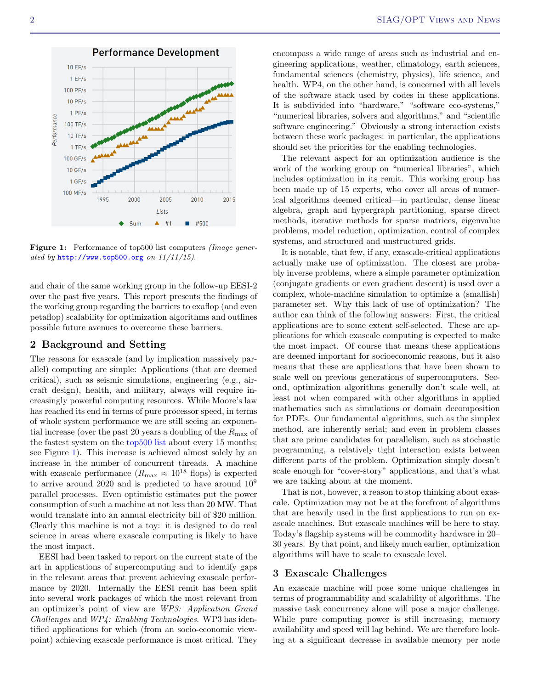and chair of the same working group in the follow-up EESI-2 over the past five years. This report presents the findings of the working group regarding the barriers to exaflop (and even petaflop) scalability for optimization algorithms and outlines possible future avenues to overcome these barriers.

### 2 Background and Setting

The reasons for exascale (and by implication massively parallel) computing are simple: Applications (that are deemed critical), such as seismic simulations, engineering (e.g., aircraft design), health, and military, always will require increasingly powerful computing resources. While Moore's law has reached its end in terms of pure processor speed, in terms of whole system performance we are still seeing an exponential increase (over the past 20 years a doubling of the  $R_{\text{max}}$  of the fastest system on the [top500 list](http://www.top500.org/) about every 15 months; see Figure [1\)](#page-1-0). This increase is achieved almost solely by an increase in the number of concurrent threads. A machine with exascale performance  $(R_{\text{max}} \approx 10^{18} \text{ flops})$  is expected to arrive around 2020 and is predicted to have around  $10^9$ parallel processes. Even optimistic estimates put the power consumption of such a machine at not less than 20 MW. That would translate into an annual electricity bill of \$20 million. Clearly this machine is not a toy: it is designed to do real science in areas where exascale computing is likely to have the most impact.

EESI had been tasked to report on the current state of the art in applications of supercomputing and to identify gaps in the relevant areas that prevent achieving exascale performance by 2020. Internally the EESI remit has been split into several work packages of which the most relevant from an optimizer's point of view are WP3: Application Grand Challenges and WP4: Enabling Technologies. WP3 has identified applications for which (from an socio-economic viewpoint) achieving exascale performance is most critical. They

encompass a wide range of areas such as industrial and engineering applications, weather, climatology, earth sciences, fundamental sciences (chemistry, physics), life science, and health. WP4, on the other hand, is concerned with all levels of the software stack used by codes in these applications. It is subdivided into "hardware," "software eco-systems," "numerical libraries, solvers and algorithms," and "scientific software engineering." Obviously a strong interaction exists between these work packages: in particular, the applications should set the priorities for the enabling technologies.

The relevant aspect for an optimization audience is the work of the working group on "numerical libraries", which includes optimization in its remit. This working group has been made up of 15 experts, who cover all areas of numerical algorithms deemed critical—in particular, dense linear algebra, graph and hypergraph partitioning, sparse direct methods, iterative methods for sparse matrices, eigenvalue problems, model reduction, optimization, control of complex systems, and structured and unstructured grids.

It is notable, that few, if any, exascale-critical applications actually make use of optimization. The closest are probably inverse problems, where a simple parameter optimization (conjugate gradients or even gradient descent) is used over a complex, whole-machine simulation to optimize a (smallish) parameter set. Why this lack of use of optimization? The author can think of the following answers: First, the critical applications are to some extent self-selected. These are applications for which exascale computing is expected to make the most impact. Of course that means these applications are deemed important for socioeconomic reasons, but it also means that these are applications that have been shown to scale well on previous generations of supercomputers. Second, optimization algorithms generally don't scale well, at least not when compared with other algorithms in applied mathematics such as simulations or domain decomposition for PDEs. Our fundamental algorithms, such as the simplex method, are inherently serial; and even in problem classes that are prime candidates for parallelism, such as stochastic programming, a relatively tight interaction exists between different parts of the problem. Optimization simply doesn't scale enough for "cover-story" applications, and that's what we are talking about at the moment.

That is not, however, a reason to stop thinking about exascale. Optimization may not be at the forefront of algorithms that are heavily used in the first applications to run on exascale machines. But exascale machines will be here to stay. Today's flagship systems will be commodity hardware in 20– 30 years. By that point, and likely much earlier, optimization algorithms will have to scale to exascale level.

### 3 Exascale Challenges

An exascale machine will pose some unique challenges in terms of programmability and scalability of algorithms. The massive task concurrency alone will pose a major challenge. While pure computing power is still increasing, memory availability and speed will lag behind. We are therefore looking at a significant decrease in available memory per node

Figure 1: Performance of top500 list computers *(Image gener*ated by  $http://www.top500.org$  on  $11/11/15$ ).

<span id="page-1-0"></span>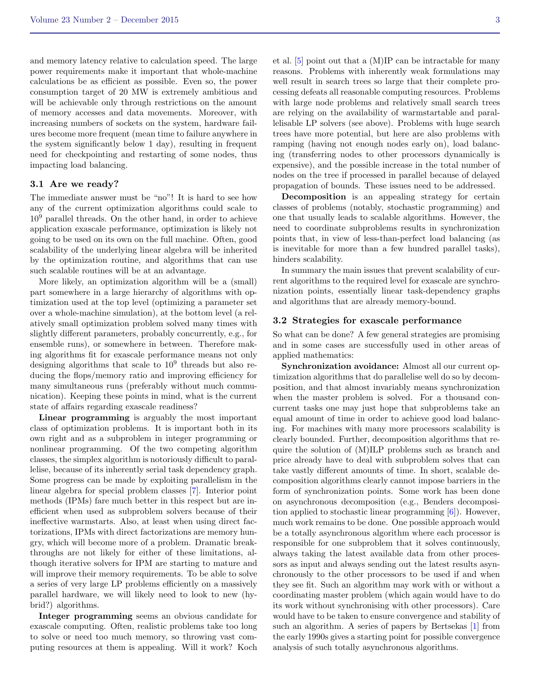and memory latency relative to calculation speed. The large power requirements make it important that whole-machine calculations be as efficient as possible. Even so, the power consumption target of 20 MW is extremely ambitious and will be achievable only through restrictions on the amount of memory accesses and data movements. Moreover, with increasing numbers of sockets on the system, hardware failures become more frequent (mean time to failure anywhere in the system significantly below 1 day), resulting in frequent need for checkpointing and restarting of some nodes, thus impacting load balancing.

### 3.1 Are we ready?

The immediate answer must be "no"! It is hard to see how any of the current optimization algorithms could scale to  $10<sup>9</sup>$  parallel threads. On the other hand, in order to achieve application exascale performance, optimization is likely not going to be used on its own on the full machine. Often, good scalability of the underlying linear algebra will be inherited by the optimization routine, and algorithms that can use such scalable routines will be at an advantage.

More likely, an optimization algorithm will be a (small) part somewhere in a large hierarchy of algorithms with optimization used at the top level (optimizing a parameter set over a whole-machine simulation), at the bottom level (a relatively small optimization problem solved many times with slightly different parameters, probably concurrently, e.g., for ensemble runs), or somewhere in between. Therefore making algorithms fit for exascale performance means not only designing algorithms that scale to  $10<sup>9</sup>$  threads but also reducing the flops/memory ratio and improving efficiency for many simultaneous runs (preferably without much communication). Keeping these points in mind, what is the current state of affairs regarding exascale readiness?

Linear programming is arguably the most important class of optimization problems. It is important both in its own right and as a subproblem in integer programming or nonlinear programming. Of the two competing algorithm classes, the simplex algorithm is notoriously difficult to parallelise, because of its inherently serial task dependency graph. Some progress can be made by exploiting parallelism in the linear algebra for special problem classes [\[7\]](#page-3-4). Interior point methods (IPMs) fare much better in this respect but are inefficient when used as subproblem solvers because of their ineffective warmstarts. Also, at least when using direct factorizations, IPMs with direct factorizations are memory hungry, which will become more of a problem. Dramatic breakthroughs are not likely for either of these limitations, although iterative solvers for IPM are starting to mature and will improve their memory requirements. To be able to solve a series of very large LP problems efficiently on a massively parallel hardware, we will likely need to look to new (hybrid?) algorithms.

Integer programming seems an obvious candidate for exascale computing. Often, realistic problems take too long to solve or need too much memory, so throwing vast computing resources at them is appealing. Will it work? Koch et al. [\[5\]](#page-3-5) point out that a (M)IP can be intractable for many reasons. Problems with inherently weak formulations may well result in search trees so large that their complete processing defeats all reasonable computing resources. Problems with large node problems and relatively small search trees are relying on the availability of warmstartable and parallelisable LP solvers (see above). Problems with huge search trees have more potential, but here are also problems with ramping (having not enough nodes early on), load balancing (transferring nodes to other processors dynamically is expensive), and the possible increase in the total number of nodes on the tree if processed in parallel because of delayed propagation of bounds. These issues need to be addressed.

Decomposition is an appealing strategy for certain classes of problems (notably, stochastic programming) and one that usually leads to scalable algorithms. However, the need to coordinate subproblems results in synchronization points that, in view of less-than-perfect load balancing (as is inevitable for more than a few hundred parallel tasks), hinders scalability.

In summary the main issues that prevent scalability of current algorithms to the required level for exascale are synchronization points, essentially linear task-dependency graphs and algorithms that are already memory-bound.

### 3.2 Strategies for exascale performance

So what can be done? A few general strategies are promising and in some cases are successfully used in other areas of applied mathematics:

Synchronization avoidance: Almost all our current optimization algorithms that do parallelise well do so by decomposition, and that almost invariably means synchronization when the master problem is solved. For a thousand concurrent tasks one may just hope that subproblems take an equal amount of time in order to achieve good load balancing. For machines with many more processors scalability is clearly bounded. Further, decomposition algorithms that require the solution of (M)ILP problems such as branch and price already have to deal with subproblem solves that can take vastly different amounts of time. In short, scalable decomposition algorithms clearly cannot impose barriers in the form of synchronization points. Some work has been done on asynchronous decomposition (e.g., Benders decomposition applied to stochastic linear programming [\[6\]](#page-3-6)). However, much work remains to be done. One possible approach would be a totally asynchronous algorithm where each processor is responsible for one subproblem that it solves continuously, always taking the latest available data from other processors as input and always sending out the latest results asynchronously to the other processors to be used if and when they see fit. Such an algorithm may work with or without a coordinating master problem (which again would have to do its work without synchronising with other processors). Care would have to be taken to ensure convergence and stability of such an algorithm. A series of papers by Bertsekas [\[1\]](#page-3-7) from the early 1990s gives a starting point for possible convergence analysis of such totally asynchronous algorithms.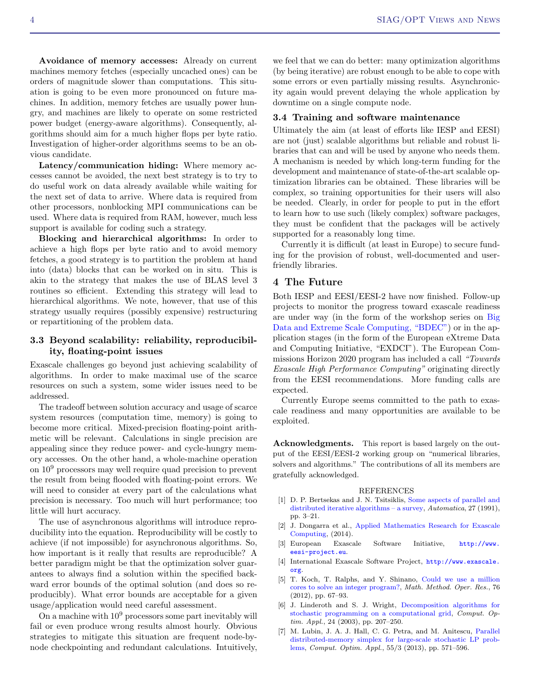Avoidance of memory accesses: Already on current machines memory fetches (especially uncached ones) can be orders of magnitude slower than computations. This situation is going to be even more pronounced on future machines. In addition, memory fetches are usually power hungry, and machines are likely to operate on some restricted power budget (energy-aware algorithms). Consequently, algorithms should aim for a much higher flops per byte ratio. Investigation of higher-order algorithms seems to be an obvious candidate.

Latency/communication hiding: Where memory accesses cannot be avoided, the next best strategy is to try to do useful work on data already available while waiting for the next set of data to arrive. Where data is required from other processors, nonblocking MPI communications can be used. Where data is required from RAM, however, much less support is available for coding such a strategy.

Blocking and hierarchical algorithms: In order to achieve a high flops per byte ratio and to avoid memory fetches, a good strategy is to partition the problem at hand into (data) blocks that can be worked on in situ. This is akin to the strategy that makes the use of BLAS level 3 routines so efficient. Extending this strategy will lead to hierarchical algorithms. We note, however, that use of this strategy usually requires (possibly expensive) restructuring or repartitioning of the problem data.

### 3.3 Beyond scalability: reliability, reproducibility, floating-point issues

Exascale challenges go beyond just achieving scalability of algorithms. In order to make maximal use of the scarce resources on such a system, some wider issues need to be addressed.

The tradeoff between solution accuracy and usage of scarce system resources (computation time, memory) is going to become more critical. Mixed-precision floating-point arithmetic will be relevant. Calculations in single precision are appealing since they reduce power- and cycle-hungry memory accesses. On the other hand, a whole-machine operation on 10<sup>9</sup> processors may well require quad precision to prevent the result from being flooded with floating-point errors. We will need to consider at every part of the calculations what precision is necessary. Too much will hurt performance; too little will hurt accuracy.

The use of asynchronous algorithms will introduce reproducibility into the equation. Reproducibility will be costly to achieve (if not impossible) for asynchronous algorithms. So, how important is it really that results are reproducible? A better paradigm might be that the optimization solver guarantees to always find a solution within the specified backward error bounds of the optimal solution (and does so reproducibly). What error bounds are acceptable for a given usage/application would need careful assessment.

On a machine with  $10<sup>9</sup>$  processors some part inevitably will fail or even produce wrong results almost hourly. Obvious strategies to mitigate this situation are frequent node-bynode checkpointing and redundant calculations. Intuitively,

we feel that we can do better: many optimization algorithms (by being iterative) are robust enough to be able to cope with some errors or even partially missing results. Asynchronicity again would prevent delaying the whole application by downtime on a single compute node.

### 3.4 Training and software maintenance

Ultimately the aim (at least of efforts like IESP and EESI) are not (just) scalable algorithms but reliable and robust libraries that can and will be used by anyone who needs them. A mechanism is needed by which long-term funding for the development and maintenance of state-of-the-art scalable optimization libraries can be obtained. These libraries will be complex, so training opportunities for their users will also be needed. Clearly, in order for people to put in the effort to learn how to use such (likely complex) software packages, they must be confident that the packages will be actively supported for a reasonably long time.

Currently it is difficult (at least in Europe) to secure funding for the provision of robust, well-documented and userfriendly libraries.

## 4 The Future

Both IESP and EESI/EESI-2 have now finished. Follow-up projects to monitor the progress toward exascale readiness are under way (in the form of the workshop series on [Big](http://www.exascale.org/bdec/) [Data and Extreme Scale Computing, "BDEC"\)](http://www.exascale.org/bdec/) or in the application stages (in the form of the European eXtreme Data and Computing Initiative, "EXDCI"). The European Commissions Horizon 2020 program has included a call "Towards Exascale High Performance Computing" originating directly from the EESI recommendations. More funding calls are expected.

Currently Europe seems committed to the path to exascale readiness and many opportunities are available to be exploited.

<span id="page-3-0"></span>Acknowledgments. This report is based largely on the output of the EESI/EESI-2 working group on "numerical libraries, solvers and algorithms." The contributions of all its members are gratefully acknowledged.

#### REFERENCES

- <span id="page-3-7"></span>[1] D. P. Bertsekas and J. N. Tsitsiklis, [Some aspects of parallel and](http://dx.doi.org/10.1016/0005-1098(91)90003-K) [distributed iterative algorithms – a survey,](http://dx.doi.org/10.1016/0005-1098(91)90003-K) Automatica, 27 (1991), pp. 3–21.
- <span id="page-3-3"></span>[2] J. Dongarra et al., [Applied Mathematics Research for Exascale]( http://science.energy.gov/~/media/ascr/pdf/research/am/docs/EMWGreport.pdf) [Computing,]( http://science.energy.gov/~/media/ascr/pdf/research/am/docs/EMWGreport.pdf) (2014).
- <span id="page-3-2"></span>[3] European Exascale Software Initiative, [http://www.](http://www.eesi-project.eu) [eesi-project.eu](http://www.eesi-project.eu).
- <span id="page-3-1"></span>[4] International Exascale Software Project, [http://www.exascale.](http://www.exascale.org) [org](http://www.exascale.org).
- <span id="page-3-5"></span>[5] T. Koch, T. Ralphs, and Y. Shinano, [Could we use a million](http://dx.doi.org/10.1007/s00186-012-0390-9) [cores to solve an integer program?,](http://dx.doi.org/10.1007/s00186-012-0390-9) Math. Method. Oper. Res., 76 (2012), pp. 67–93.
- <span id="page-3-6"></span>[6] J. Linderoth and S. J. Wright, [Decomposition algorithms for](http://dx.doi.org/ 10.1023/A:1021858008222) [stochastic programming on a computational grid,](http://dx.doi.org/ 10.1023/A:1021858008222) Comput. Optim. Appl., 24 (2003), pp. 207–250.
- <span id="page-3-4"></span>[7] M. Lubin, J. A. J. Hall, C. G. Petra, and M. Anitescu, [Parallel](http://dx.doi.org/10.1007/s10589-013-9542-y) [distributed-memory simplex for large-scale stochastic LP prob](http://dx.doi.org/10.1007/s10589-013-9542-y)[lems,](http://dx.doi.org/10.1007/s10589-013-9542-y) Comput. Optim. Appl., 55/3 (2013), pp. 571–596.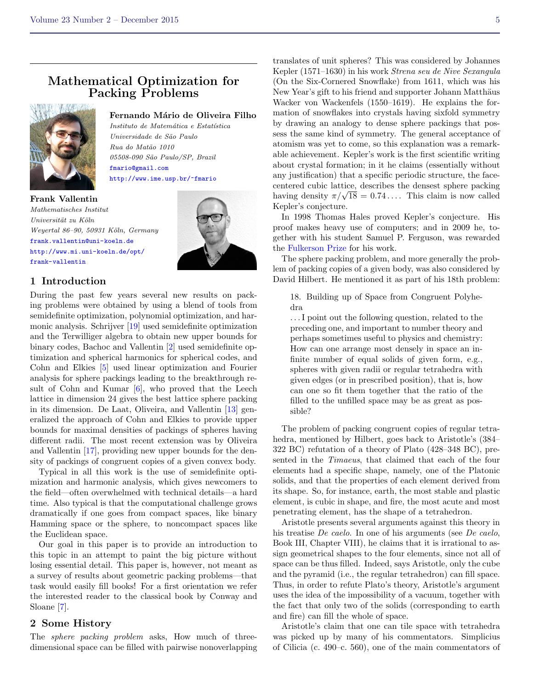## Mathematical Optimization for Packing Problems



## Fernando Mário de Oliveira Filho

Instituto de Matemática e Estatística Universidade de S˜ao Paulo Rua do Mat˜ao 1010 05508-090 São Paulo/SP, Brazil <fmario@gmail.com> <http://www.ime.usp.br/~fmario>

Frank Vallentin Mathematisches Institut Universität zu Köln Weyertal 86-90, 50931 Köln, Germany <frank.vallentin@uni-koeln.de> [http://www.mi.uni-koeln.de/opt/](http://www.mi.uni-koeln.de/opt/frank-vallentin) [frank-vallentin](http://www.mi.uni-koeln.de/opt/frank-vallentin)



### 1 Introduction

During the past few years several new results on packing problems were obtained by using a blend of tools from semidefinite optimization, polynomial optimization, and harmonic analysis. Schrijver [\[19\]](#page-13-1) used semidefinite optimization and the Terwilliger algebra to obtain new upper bounds for binary codes, Bachoc and Vallentin [\[2\]](#page-13-2) used semidefinite optimization and spherical harmonics for spherical codes, and Cohn and Elkies [\[5\]](#page-13-3) used linear optimization and Fourier analysis for sphere packings leading to the breakthrough result of Cohn and Kumar [\[6\]](#page-13-4), who proved that the Leech lattice in dimension 24 gives the best lattice sphere packing in its dimension. De Laat, Oliveira, and Vallentin [\[13\]](#page-13-5) generalized the approach of Cohn and Elkies to provide upper bounds for maximal densities of packings of spheres having different radii. The most recent extension was by Oliveira and Vallentin [\[17\]](#page-13-6), providing new upper bounds for the density of packings of congruent copies of a given convex body.

Typical in all this work is the use of semidefinite optimization and harmonic analysis, which gives newcomers to the field—often overwhelmed with technical details—a hard time. Also typical is that the computational challenge grows dramatically if one goes from compact spaces, like binary Hamming space or the sphere, to noncompact spaces like the Euclidean space.

Our goal in this paper is to provide an introduction to this topic in an attempt to paint the big picture without losing essential detail. This paper is, however, not meant as a survey of results about geometric packing problems—that task would easily fill books! For a first orientation we refer the interested reader to the classical book by Conway and Sloane [\[7\]](#page-13-7).

### 2 Some History

The *sphere packing problem* asks, How much of threedimensional space can be filled with pairwise nonoverlapping

translates of unit spheres? This was considered by Johannes Kepler (1571–1630) in his work Strena seu de Nive Sexangula (On the Six-Cornered Snowflake) from 1611, which was his New Year's gift to his friend and supporter Johann Matthäus Wacker von Wackenfels (1550–1619). He explains the formation of snowflakes into crystals having sixfold symmetry by drawing an analogy to dense sphere packings that possess the same kind of symmetry. The general acceptance of atomism was yet to come, so this explanation was a remarkable achievement. Kepler's work is the first scientific writing about crystal formation; in it he claims (essentially without any justification) that a specific periodic structure, the facecentered cubic lattice, describes the densest sphere packing centered cubic lattice, describes the densest sphere packing<br>having density  $\pi/\sqrt{18} = 0.74...$  This claim is now called Kepler's conjecture.

In 1998 Thomas Hales proved Kepler's conjecture. His proof makes heavy use of computers; and in 2009 he, together with his student Samuel P. Ferguson, was rewarded the [Fulkerson Prize](http://www.ams.org/profession/prizes-awards/ams-prizes/fulkerson-prize) for his work.

The sphere packing problem, and more generally the problem of packing copies of a given body, was also considered by David Hilbert. He mentioned it as part of his 18th problem:

18. Building up of Space from Congruent Polyhedra

. . . I point out the following question, related to the preceding one, and important to number theory and perhaps sometimes useful to physics and chemistry: How can one arrange most densely in space an infinite number of equal solids of given form, e.g., spheres with given radii or regular tetrahedra with given edges (or in prescribed position), that is, how can one so fit them together that the ratio of the filled to the unfilled space may be as great as possible?

The problem of packing congruent copies of regular tetrahedra, mentioned by Hilbert, goes back to Aristotle's (384– 322 BC) refutation of a theory of Plato (428–348 BC), presented in the Timaeus, that claimed that each of the four elements had a specific shape, namely, one of the Platonic solids, and that the properties of each element derived from its shape. So, for instance, earth, the most stable and plastic element, is cubic in shape, and fire, the most acute and most penetrating element, has the shape of a tetrahedron.

Aristotle presents several arguments against this theory in his treatise *De caelo*. In one of his arguments (see *De caelo*, Book III, Chapter VIII), he claims that it is irrational to assign geometrical shapes to the four elements, since not all of space can be thus filled. Indeed, says Aristotle, only the cube and the pyramid (i.e., the regular tetrahedron) can fill space. Thus, in order to refute Plato's theory, Aristotle's argument uses the idea of the impossibility of a vacuum, together with the fact that only two of the solids (corresponding to earth and fire) can fill the whole of space.

Aristotle's claim that one can tile space with tetrahedra was picked up by many of his commentators. Simplicius of Cilicia (c. 490–c. 560), one of the main commentators of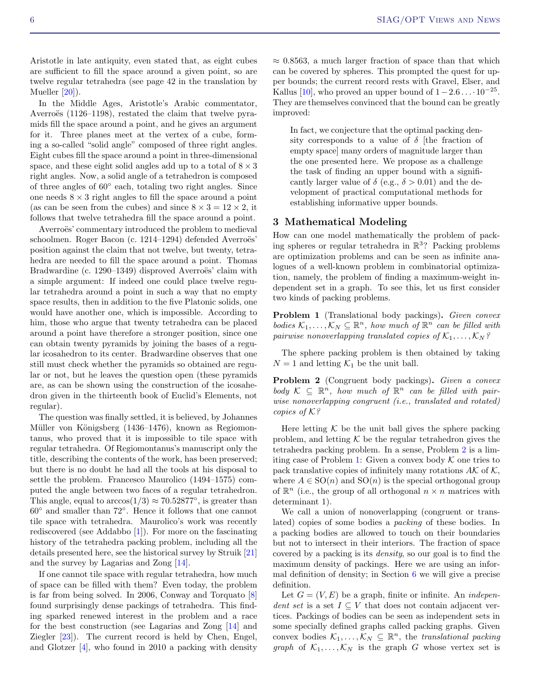Aristotle in late antiquity, even stated that, as eight cubes are sufficient to fill the space around a given point, so are twelve regular tetrahedra (see page 42 in the translation by Mueller [\[20\]](#page-13-8).

In the Middle Ages, Aristotle's Arabic commentator, Averroës  $(1126-1198)$ , restated the claim that twelve pyramids fill the space around a point, and he gives an argument for it. Three planes meet at the vertex of a cube, forming a so-called "solid angle" composed of three right angles. Eight cubes fill the space around a point in three-dimensional space, and these eight solid angles add up to a total of  $8 \times 3$ right angles. Now, a solid angle of a tetrahedron is composed of three angles of 60◦ each, totaling two right angles. Since one needs  $8 \times 3$  right angles to fill the space around a point (as can be seen from the cubes) and since  $8 \times 3 = 12 \times 2$ , it follows that twelve tetrahedra fill the space around a point.

Averroës' commentary introduced the problem to medieval schoolmen. Roger Bacon (c. 1214–1294) defended Averroës' position against the claim that not twelve, but twenty, tetrahedra are needed to fill the space around a point. Thomas Bradwardine (c. 1290–1349) disproved Averroës' claim with a simple argument: If indeed one could place twelve regular tetrahedra around a point in such a way that no empty space results, then in addition to the five Platonic solids, one would have another one, which is impossible. According to him, those who argue that twenty tetrahedra can be placed around a point have therefore a stronger position, since one can obtain twenty pyramids by joining the bases of a regular icosahedron to its center. Bradwardine observes that one still must check whether the pyramids so obtained are regular or not, but he leaves the question open (these pyramids are, as can be shown using the construction of the icosahedron given in the thirteenth book of Euclid's Elements, not regular).

The question was finally settled, it is believed, by Johannes Müller von Königsberg (1436–1476), known as Regiomontanus, who proved that it is impossible to tile space with regular tetrahedra. Of Regiomontanus's manuscript only the title, describing the contents of the work, has been preserved; but there is no doubt he had all the tools at his disposal to settle the problem. Francesco Maurolico (1494–1575) computed the angle between two faces of a regular tetrahedron. This angle, equal to  $arccos(1/3) \approx 70.52877$ °, is greater than 60◦ and smaller than 72◦ . Hence it follows that one cannot tile space with tetrahedra. Maurolico's work was recently rediscovered (see Addabbo  $[1]$ ). For more on the fascinating history of the tetrahedra packing problem, including all the details presented here, see the historical survey by Struik [\[21\]](#page-13-10) and the survey by Lagarias and Zong [\[14\]](#page-13-11).

If one cannot tile space with regular tetrahedra, how much of space can be filled with them? Even today, the problem is far from being solved. In 2006, Conway and Torquato [\[8\]](#page-13-12) found surprisingly dense packings of tetrahedra. This finding sparked renewed interest in the problem and a race for the best construction (see Lagarias and Zong [\[14\]](#page-13-11) and Ziegler [\[23\]](#page-13-13)). The current record is held by Chen, Engel, and Glotzer [\[4\]](#page-13-14), who found in 2010 a packing with density

 $\approx 0.8563$ , a much larger fraction of space than that which can be covered by spheres. This prompted the quest for upper bounds; the current record rests with Gravel, Elser, and Kallus [\[10\]](#page-13-15), who proved an upper bound of  $1-2.6\dots 10^{-25}$ . They are themselves convinced that the bound can be greatly improved:

In fact, we conjecture that the optimal packing density corresponds to a value of  $\delta$  [the fraction of empty space] many orders of magnitude larger than the one presented here. We propose as a challenge the task of finding an upper bound with a significantly larger value of  $\delta$  (e.g.,  $\delta > 0.01$ ) and the development of practical computational methods for establishing informative upper bounds.

### 3 Mathematical Modeling

How can one model mathematically the problem of packing spheres or regular tetrahedra in  $\mathbb{R}^3$ ? Packing problems are optimization problems and can be seen as infinite analogues of a well-known problem in combinatorial optimization, namely, the problem of finding a maximum-weight independent set in a graph. To see this, let us first consider two kinds of packing problems.

<span id="page-5-1"></span>Problem 1 (Translational body packings). Given convex bodies  $\mathcal{K}_1, \ldots, \mathcal{K}_N \subseteq \mathbb{R}^n$ , how much of  $\mathbb{R}^n$  can be filled with pairwise nonoverlapping translated copies of  $\mathcal{K}_1, \ldots, \mathcal{K}_N$ ?

The sphere packing problem is then obtained by taking  $N = 1$  and letting  $\mathcal{K}_1$  be the unit ball.

<span id="page-5-0"></span>Problem 2 (Congruent body packings). Given a convex body  $K \subseteq \mathbb{R}^n$ , how much of  $\mathbb{R}^n$  can be filled with pairwise nonoverlapping congruent (i.e., translated and rotated) copies of K?

Here letting  $K$  be the unit ball gives the sphere packing problem, and letting  $K$  be the regular tetrahedron gives the tetrahedra packing problem. In a sense, Problem [2](#page-5-0) is a lim-iting case of Problem [1:](#page-5-1) Given a convex body  $K$  one tries to pack translative copies of infinitely many rotations  $A\mathcal{K}$  of  $\mathcal{K}$ , where  $A \in SO(n)$  and  $SO(n)$  is the special orthogonal group of  $\mathbb{R}^n$  (i.e., the group of all orthogonal  $n \times n$  matrices with determinant 1).

We call a union of nonoverlapping (congruent or translated) copies of some bodies a packing of these bodies. In a packing bodies are allowed to touch on their boundaries but not to intersect in their interiors. The fraction of space covered by a packing is its density, so our goal is to find the maximum density of packings. Here we are using an informal definition of density; in Section [6](#page-9-0) we will give a precise definition.

Let  $G = (V, E)$  be a graph, finite or infinite. An *indepen*dent set is a set  $I \subseteq V$  that does not contain adjacent vertices. Packings of bodies can be seen as independent sets in some specially defined graphs called packing graphs. Given convex bodies  $\mathcal{K}_1, \ldots, \mathcal{K}_N \subseteq \mathbb{R}^n$ , the translational packing *graph* of  $\mathcal{K}_1, \ldots, \mathcal{K}_N$  is the graph G whose vertex set is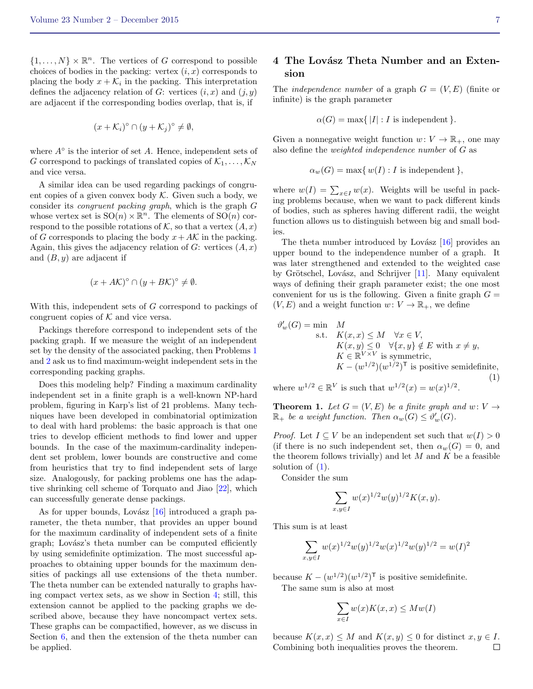$\{1, \ldots, N\} \times \mathbb{R}^n$ . The vertices of G correspond to possible choices of bodies in the packing: vertex  $(i, x)$  corresponds to placing the body  $x + \mathcal{K}_i$  in the packing. This interpretation defines the adjacency relation of G: vertices  $(i, x)$  and  $(j, y)$ are adjacent if the corresponding bodies overlap, that is, if

$$
(x+\mathcal{K}_i)^{\circ} \cap (y+\mathcal{K}_j)^{\circ} \neq \emptyset,
$$

where  $A^{\circ}$  is the interior of set  $A$ . Hence, independent sets of G correspond to packings of translated copies of  $\mathcal{K}_1, \ldots, \mathcal{K}_N$ and vice versa.

A similar idea can be used regarding packings of congruent copies of a given convex body  $K$ . Given such a body, we consider its congruent packing graph, which is the graph G whose vertex set is  $SO(n) \times \mathbb{R}^n$ . The elements of  $SO(n)$  correspond to the possible rotations of K, so that a vertex  $(A, x)$ of G corresponds to placing the body  $x + AK$  in the packing. Again, this gives the adjacency relation of  $G$ : vertices  $(A, x)$ and  $(B, y)$  are adjacent if

$$
(x + AK)^{\circ} \cap (y + BK)^{\circ} \neq \emptyset.
$$

With this, independent sets of G correspond to packings of congruent copies of  $K$  and vice versa.

Packings therefore correspond to independent sets of the packing graph. If we measure the weight of an independent set by the density of the associated packing, then Problems [1](#page-5-1) and [2](#page-5-0) ask us to find maximum-weight independent sets in the corresponding packing graphs.

Does this modeling help? Finding a maximum cardinality independent set in a finite graph is a well-known NP-hard problem, figuring in Karp's list of 21 problems. Many techniques have been developed in combinatorial optimization to deal with hard problems: the basic approach is that one tries to develop efficient methods to find lower and upper bounds. In the case of the maximum-cardinality independent set problem, lower bounds are constructive and come from heuristics that try to find independent sets of large size. Analogously, for packing problems one has the adaptive shrinking cell scheme of Torquato and Jiao [\[22\]](#page-13-16), which can successfully generate dense packings.

As for upper bounds, Lovász  $[16]$  introduced a graph parameter, the theta number, that provides an upper bound for the maximum cardinality of independent sets of a finite graph; Lovász's theta number can be computed efficiently by using semidefinite optimization. The most successful approaches to obtaining upper bounds for the maximum densities of packings all use extensions of the theta number. The theta number can be extended naturally to graphs having compact vertex sets, as we show in Section [4;](#page-6-0) still, this extension cannot be applied to the packing graphs we described above, because they have noncompact vertex sets. These graphs can be compactified, however, as we discuss in Section [6,](#page-9-0) and then the extension of the theta number can be applied.

### <span id="page-6-0"></span>4 The Lovász Theta Number and an Extension

The *independence number* of a graph  $G = (V, E)$  (finite or infinite) is the graph parameter

$$
\alpha(G) = \max\{|I| : I \text{ is independent}\}.
$$

Given a nonnegative weight function  $w: V \to \mathbb{R}_+$ , one may also define the weighted independence number of G as

$$
\alpha_w(G) = \max\{w(I) : I \text{ is independent}\},
$$

where  $w(I) = \sum_{x \in I} w(x)$ . Weights will be useful in packing problems because, when we want to pack different kinds of bodies, such as spheres having different radii, the weight function allows us to distinguish between big and small bodies.

The theta number introduced by Lovász  $[16]$  provides an upper bound to the independence number of a graph. It was later strengthened and extended to the weighted case by Grötschel, Lovász, and Schrijver  $[11]$ . Many equivalent ways of defining their graph parameter exist; the one most convenient for us is the following. Given a finite graph  $G =$  $(V, E)$  and a weight function  $w: V \to \mathbb{R}_+$ , we define

<span id="page-6-1"></span>
$$
\vartheta'_{w}(G) = \min \quad M
$$
\ns.t.  $K(x, x) \leq M \quad \forall x \in V$ ,  
\n
$$
K(x, y) \leq 0 \quad \forall \{x, y\} \notin E \text{ with } x \neq y,
$$
\n
$$
K \in \mathbb{R}^{V \times V} \text{ is symmetric},
$$
\n
$$
K - (w^{1/2})(w^{1/2})^{\mathsf{T}} \text{ is positive semidefinite},
$$
\n
$$
\frac{1}{2} \cdot \mathbb{E}[K] \cdot \frac{1}{2} \cdot \frac{1}{2} \cdot \frac{1}{2} \cdot \frac{1}{2} \cdot \frac{1}{2} \cdot \frac{1}{2} \cdot \frac{1}{2} \cdot \frac{1}{2} \cdot \frac{1}{2} \cdot \frac{1}{2} \cdot \frac{1}{2} \cdot \frac{1}{2} \cdot \frac{1}{2} \cdot \frac{1}{2} \cdot \frac{1}{2} \cdot \frac{1}{2} \cdot \frac{1}{2} \cdot \frac{1}{2} \cdot \frac{1}{2} \cdot \frac{1}{2} \cdot \frac{1}{2} \cdot \frac{1}{2} \cdot \frac{1}{2} \cdot \frac{1}{2} \cdot \frac{1}{2} \cdot \frac{1}{2} \cdot \frac{1}{2} \cdot \frac{1}{2} \cdot \frac{1}{2} \cdot \frac{1}{2} \cdot \frac{1}{2} \cdot \frac{1}{2} \cdot \frac{1}{2} \cdot \frac{1}{2} \cdot \frac{1}{2} \cdot \frac{1}{2} \cdot \frac{1}{2} \cdot \frac{1}{2} \cdot \frac{1}{2} \cdot \frac{1}{2} \cdot \frac{1}{2} \cdot \frac{1}{2} \cdot \frac{1}{2} \cdot \frac{1}{2} \cdot \frac{1}{2} \cdot \frac{1}{2} \cdot \frac{1}{2} \cdot \frac{1}{2} \cdot \frac{1}{2} \cdot \frac{1}{2} \cdot \frac{1}{2} \cdot \frac{1}{2} \cdot \frac{1}{2} \cdot \frac{1}{2} \cdot \frac{1}{2} \cdot \frac{1}{2} \cdot \frac{1}{2} \cdot \frac{1}{2} \cdot \frac{1}{2} \cdot \frac{1}{2} \cdot \frac{1}{2} \cdot \frac{1}{2} \cdot \frac{1}{2} \cdot \frac{1}{2}
$$

where  $w^{1/2} \in \mathbb{R}^V$  is such that  $w^{1/2}(x) = w(x)^{1/2}$ .

<span id="page-6-2"></span>**Theorem 1.** Let  $G = (V, E)$  be a finite graph and  $w: V \rightarrow$  $\mathbb{R}_+$  be a weight function. Then  $\alpha_w(G) \leq \vartheta'_w(G)$ .

*Proof.* Let  $I \subseteq V$  be an independent set such that  $w(I) > 0$ (if there is no such independent set, then  $\alpha_w(G) = 0$ , and the theorem follows trivially) and let  $M$  and  $K$  be a feasible solution of  $(1)$ .

Consider the sum

$$
\sum_{x,y \in I} w(x)^{1/2} w(y)^{1/2} K(x,y).
$$

This sum is at least

$$
\sum_{x,y \in I} w(x)^{1/2} w(y)^{1/2} w(x)^{1/2} w(y)^{1/2} = w(I)^2
$$

because  $K - (w^{1/2})(w^{1/2})^{\mathsf{T}}$  is positive semidefinite.

The same sum is also at most

$$
\sum_{x \in I} w(x)K(x, x) \le Mw(I)
$$

because  $K(x, x) \leq M$  and  $K(x, y) \leq 0$  for distinct  $x, y \in I$ . Combining both inequalities proves the theorem. $\Box$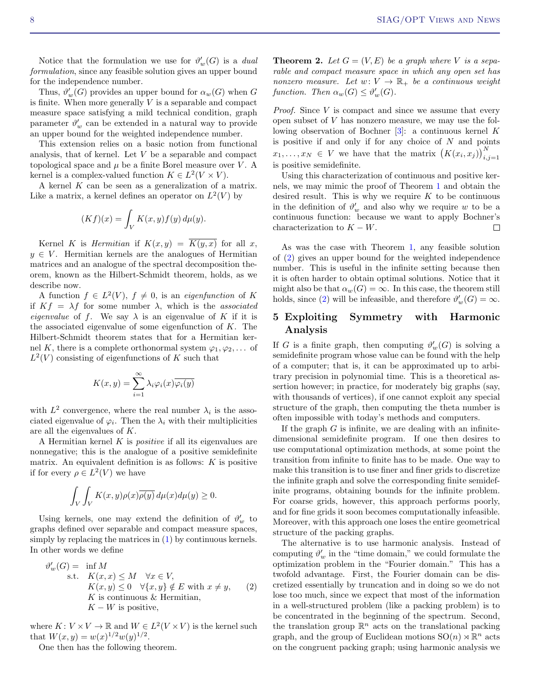Notice that the formulation we use for  $\vartheta_w'(G)$  is a *dual* formulation, since any feasible solution gives an upper bound for the independence number.

Thus,  $\vartheta'_w(G)$  provides an upper bound for  $\alpha_w(G)$  when G is finite. When more generally  $V$  is a separable and compact measure space satisfying a mild technical condition, graph parameter  $\vartheta'_w$  can be extended in a natural way to provide an upper bound for the weighted independence number.

This extension relies on a basic notion from functional analysis, that of kernel. Let V be a separable and compact topological space and  $\mu$  be a finite Borel measure over V. A kernel is a complex-valued function  $K \in L^2(V \times V)$ .

A kernel  $K$  can be seen as a generalization of a matrix. Like a matrix, a kernel defines an operator on  $L^2(V)$  by

$$
(Kf)(x) = \int_V K(x, y) f(y) d\mu(y).
$$

Kernel K is *Hermitian* if  $K(x, y) = \overline{K(y, x)}$  for all x,  $y \in V$ . Hermitian kernels are the analogues of Hermitian matrices and an analogue of the spectral decomposition theorem, known as the Hilbert-Schmidt theorem, holds, as we describe now.

A function  $f \in L^2(V)$ ,  $f \neq 0$ , is an *eigenfunction* of K if  $Kf = \lambda f$  for some number  $\lambda$ , which is the *associated* eigenvalue of f. We say  $\lambda$  is an eigenvalue of K if it is the associated eigenvalue of some eigenfunction of  $K$ . The Hilbert-Schmidt theorem states that for a Hermitian kernel K, there is a complete orthonormal system  $\varphi_1, \varphi_2, \ldots$  of  $L^2(V)$  consisting of eigenfunctions of K such that

$$
K(x,y) = \sum_{i=1}^{\infty} \lambda_i \varphi_i(x) \overline{\varphi_i(y)}
$$

with  $L^2$  convergence, where the real number  $\lambda_i$  is the associated eigenvalue of  $\varphi_i$ . Then the  $\lambda_i$  with their multiplicities are all the eigenvalues of K.

A Hermitian kernel  $K$  is *positive* if all its eigenvalues are nonnegative; this is the analogue of a positive semidefinite matrix. An equivalent definition is as follows:  $K$  is positive if for every  $\rho \in L^2(V)$  we have

$$
\int_{V} \int_{V} K(x, y) \rho(x) \overline{\rho(y)} d\mu(x) d\mu(y) \ge 0.
$$

Using kernels, one may extend the definition of  $\vartheta_w'$  to graphs defined over separable and compact measure spaces, simply by replacing the matrices in [\(1\)](#page-6-1) by continuous kernels. In other words we define

<span id="page-7-0"></span>
$$
\vartheta'_{w}(G) = \inf M
$$
  
s.t.  $K(x, x) \le M \quad \forall x \in V$ ,  
 $K(x, y) \le 0 \quad \forall \{x, y\} \notin E \text{ with } x \ne y$ , (2)  
 $K \text{ is continuous & Hermitian},$   
 $K - W \text{ is positive},$ 

where  $K: V \times V \to \mathbb{R}$  and  $W \in L^2(V \times V)$  is the kernel such that  $W(x, y) = w(x)^{1/2}w(y)^{1/2}$ .

One then has the following theorem.

<span id="page-7-1"></span>**Theorem 2.** Let  $G = (V, E)$  be a graph where V is a separable and compact measure space in which any open set has nonzero measure. Let  $w: V \to \mathbb{R}_+$  be a continuous weight function. Then  $\alpha_w(G) \leq \vartheta'_w(G)$ .

*Proof.* Since  $V$  is compact and since we assume that every open subset of V has nonzero measure, we may use the following observation of Bochner [\[3\]](#page-13-19): a continuous kernel K is positive if and only if for any choice of  $N$  and points  $x_1, \ldots, x_N \in V$  we have that the matrix  $(K(x_i, x_j))_{i,j=1}^N$ is positive semidefinite.

Using this characterization of continuous and positive kernels, we may mimic the proof of Theorem [1](#page-6-2) and obtain the desired result. This is why we require  $K$  to be continuous in the definition of  $\vartheta_w'$  and also why we require w to be a continuous function: because we want to apply Bochner's characterization to  $K - W$ .  $\Box$ 

As was the case with Theorem [1,](#page-6-2) any feasible solution of [\(2\)](#page-7-0) gives an upper bound for the weighted independence number. This is useful in the infinite setting because then it is often harder to obtain optimal solutions. Notice that it might also be that  $\alpha_w(G) = \infty$ . In this case, the theorem still holds, since [\(2\)](#page-7-0) will be infeasible, and therefore  $\vartheta'_w(G) = \infty$ .

## <span id="page-7-2"></span>5 Exploiting Symmetry with Harmonic Analysis

If G is a finite graph, then computing  $\vartheta'_w(G)$  is solving a semidefinite program whose value can be found with the help of a computer; that is, it can be approximated up to arbitrary precision in polynomial time. This is a theoretical assertion however; in practice, for moderately big graphs (say, with thousands of vertices), if one cannot exploit any special structure of the graph, then computing the theta number is often impossible with today's methods and computers.

If the graph  $G$  is infinite, we are dealing with an infinitedimensional semidefinite program. If one then desires to use computational optimization methods, at some point the transition from infinite to finite has to be made. One way to make this transition is to use finer and finer grids to discretize the infinite graph and solve the corresponding finite semidefinite programs, obtaining bounds for the infinite problem. For coarse grids, however, this approach performs poorly, and for fine grids it soon becomes computationally infeasible. Moreover, with this approach one loses the entire geometrical structure of the packing graphs.

The alternative is to use harmonic analysis. Instead of computing  $\vartheta'_w$  in the "time domain," we could formulate the optimization problem in the "Fourier domain." This has a twofold advantage. First, the Fourier domain can be discretized essentially by truncation and in doing so we do not lose too much, since we expect that most of the information in a well-structured problem (like a packing problem) is to be concentrated in the beginning of the spectrum. Second, the translation group  $\mathbb{R}^n$  acts on the translational packing graph, and the group of Euclidean motions  $SO(n) \rtimes \mathbb{R}^n$  acts on the congruent packing graph; using harmonic analysis we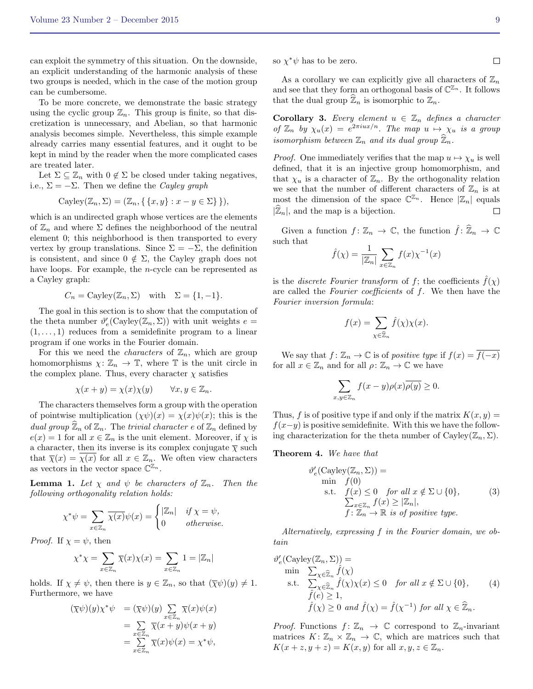can exploit the symmetry of this situation. On the downside, an explicit understanding of the harmonic analysis of these two groups is needed, which in the case of the motion group can be cumbersome.

To be more concrete, we demonstrate the basic strategy using the cyclic group  $\mathbb{Z}_n$ . This group is finite, so that discretization is unnecessary, and Abelian, so that harmonic analysis becomes simple. Nevertheless, this simple example already carries many essential features, and it ought to be kept in mind by the reader when the more complicated cases are treated later.

Let  $\Sigma \subseteq \mathbb{Z}_n$  with  $0 \notin \Sigma$  be closed under taking negatives, i.e.,  $\Sigma = -\Sigma$ . Then we define the Cayley graph

$$
Cayley(\mathbb{Z}_n, \Sigma) = (\mathbb{Z}_n, \{ \{x, y\} : x - y \in \Sigma \} \}),
$$

which is an undirected graph whose vertices are the elements of  $\mathbb{Z}_n$  and where  $\Sigma$  defines the neighborhood of the neutral element 0; this neighborhood is then transported to every vertex by group translations. Since  $\Sigma = -\Sigma$ , the definition is consistent, and since  $0 \notin \Sigma$ , the Cayley graph does not have loops. For example, the *n*-cycle can be represented as a Cayley graph:

$$
C_n = \text{Cayley}(\mathbb{Z}_n, \Sigma) \quad \text{with} \quad \Sigma = \{1, -1\}.
$$

The goal in this section is to show that the computation of the theta number  $\vartheta'_{e}(\text{Cayley}(\mathbb{Z}_n, \Sigma))$  with unit weights  $e =$  $(1, \ldots, 1)$  reduces from a semidefinite program to a linear program if one works in the Fourier domain.

For this we need the *characters* of  $\mathbb{Z}_n$ , which are group homomorphisms  $\chi: \mathbb{Z}_n \to \mathbb{T}$ , where  $\mathbb{T}$  is the unit circle in the complex plane. Thus, every character  $\chi$  satisfies

$$
\chi(x+y) = \chi(x)\chi(y) \qquad \forall x, y \in \mathbb{Z}_n.
$$

The characters themselves form a group with the operation of pointwise multiplication  $(\chi \psi)(x) = \chi(x)\psi(x)$ ; this is the dual group  $\widehat{\mathbb{Z}}_n$  of  $\mathbb{Z}_n$ . The trivial character e of  $\mathbb{Z}_n$  defined by  $e(x) = 1$  for all  $x \in \mathbb{Z}_n$  is the unit element. Moreover, if  $\chi$  is a character, then its inverse is its complex conjugate  $\overline{\chi}$  such that  $\bar{\chi}(x) = \chi(x)$  for all  $x \in \mathbb{Z}_n$ . We often view characters as vectors in the vector space  $\mathbb{C}^{\mathbb{Z}_n}$ .

**Lemma 1.** Let  $\chi$  and  $\psi$  be characters of  $\mathbb{Z}_n$ . Then the following orthogonality relation holds:

$$
\chi^*\psi = \sum_{x \in \mathbb{Z}_n} \overline{\chi(x)} \psi(x) = \begin{cases} |\mathbb{Z}_n| & \text{if } \chi = \psi, \\ 0 & \text{otherwise.} \end{cases}
$$

*Proof.* If  $\chi = \psi$ , then

$$
\chi^* \chi = \sum_{x \in \mathbb{Z}_n} \overline{\chi}(x) \chi(x) = \sum_{x \in \mathbb{Z}_n} 1 = |\mathbb{Z}_n|
$$

holds. If  $\chi \neq \psi$ , then there is  $y \in \mathbb{Z}_n$ , so that  $(\overline{\chi}\psi)(y) \neq 1$ . Furthermore, we have

$$
(\overline{\chi}\psi)(y)\chi^*\psi = (\overline{\chi}\psi)(y)\sum_{x\in\mathbb{Z}_n}\overline{\chi}(x)\psi(x)
$$
  
= 
$$
\sum_{x\in\mathbb{Z}_n}\overline{\chi}(x+y)\psi(x+y)
$$
  
= 
$$
\sum_{x\in\mathbb{Z}_n}\overline{\chi}(x)\psi(x) = \chi^*\psi,
$$

so  $\chi^* \psi$  has to be zero.

As a corollary we can explicitly give all characters of  $\mathbb{Z}_n$ and see that they form an orthogonal basis of  $\mathbb{C}^{\mathbb{Z}_n}$ . It follows that the dual group  $\widehat{\mathbb{Z}}_n$  is isomorphic to  $\mathbb{Z}_n$ .

**Corollary 3.** Every element  $u \in \mathbb{Z}_n$  defines a character of  $\mathbb{Z}_n$  by  $\chi_u(x) = e^{2\pi i ux/n}$ . The map  $u \mapsto \chi_u$  is a group isomorphism between  $\mathbb{Z}_n$  and its dual group  $\mathbb{Z}_n$ .

*Proof.* One immediately verifies that the map  $u \mapsto \chi_u$  is well defined, that it is an injective group homomorphism, and that  $\chi_u$  is a character of  $\mathbb{Z}_n$ . By the orthogonality relation we see that the number of different characters of  $\mathbb{Z}_n$  is at most the dimension of the space  $\mathbb{C}^{\mathbb{Z}_n}$ . Hence  $|\mathbb{Z}_n|$  equals  $|\widehat{\mathbb{Z}}_n|$ , and the map is a bijection.

Given a function  $f: \mathbb{Z}_n \to \mathbb{C}$ , the function  $\hat{f}: \widehat{\mathbb{Z}}_n \to \mathbb{C}$ such that

$$
\hat{f}(\chi) = \frac{1}{|\mathbb{Z}_n|} \sum_{x \in \mathbb{Z}_n} f(x) \chi^{-1}(x)
$$

is the *discrete Fourier transform* of f; the coefficients  $\hat{f}(\chi)$ are called the Fourier coefficients of f. We then have the Fourier inversion formula:

$$
f(x) = \sum_{\chi \in \widehat{\mathbb{Z}}_n} \widehat{f}(\chi) \chi(x).
$$

We say that  $f: \mathbb{Z}_n \to \mathbb{C}$  is of positive type if  $f(x) = \overline{f(-x)}$ for all  $x \in \mathbb{Z}_n$  and for all  $\rho: \mathbb{Z}_n \to \mathbb{C}$  we have

$$
\sum_{x,y\in\mathbb{Z}_n} f(x-y)\rho(x)\overline{\rho(y)} \ge 0.
$$

Thus, f is of positive type if and only if the matrix  $K(x, y) =$  $f(x-y)$  is positive semidefinite. With this we have the following characterization for the theta number of Cayley $(\mathbb{Z}_n, \Sigma)$ .

<span id="page-8-2"></span>Theorem 4. We have that

<span id="page-8-0"></span>
$$
\vartheta'_{e}(\text{Cayley}(\mathbb{Z}_{n}, \Sigma)) = \min f(0)
$$
\ns.t.  $f(x) \le 0$  for all  $x \notin \Sigma \cup \{0\}$ ,  
\n
$$
\sum_{x \in \mathbb{Z}_{n}} f(x) \ge |\mathbb{Z}_{n}|,
$$
\n
$$
f: \mathbb{Z}_{n} \to \mathbb{R} \text{ is of positive type.}
$$
\n(3)

Alternatively, expressing f in the Fourier domain, we obtain

<span id="page-8-1"></span>
$$
\vartheta'_{e}(\text{Cayley}(\mathbb{Z}_{n}, \Sigma)) = \min \sum_{\chi \in \widehat{\mathbb{Z}}_{n}} \widehat{f}(\chi) \n\text{s.t. } \sum_{\chi \in \widehat{\mathbb{Z}}_{n}} \widehat{f}(\chi) \chi(x) \le 0 \quad \text{for all } x \notin \Sigma \cup \{0\}, \qquad (4) \n\widehat{f}(e) \ge 1, \n\widehat{f}(\chi) \ge 0 \text{ and } \widehat{f}(\chi) = \widehat{f}(\chi^{-1}) \text{ for all } \chi \in \widehat{\mathbb{Z}}_{n}.
$$

*Proof.* Functions  $f: \mathbb{Z}_n \to \mathbb{C}$  correspond to  $\mathbb{Z}_n$ -invariant matrices  $K: \mathbb{Z}_n \times \mathbb{Z}_n \to \mathbb{C}$ , which are matrices such that  $K(x + z, y + z) = K(x, y)$  for all  $x, y, z \in \mathbb{Z}_n$ .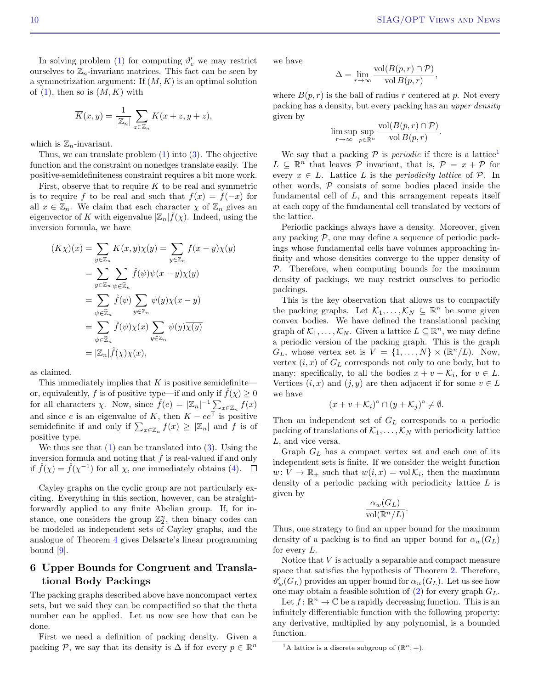In solving problem [\(1\)](#page-6-1) for computing  $\vartheta_e'$  we may restrict ourselves to  $\mathbb{Z}_n$ -invariant matrices. This fact can be seen by a symmetrization argument: If  $(M, K)$  is an optimal solution of [\(1\)](#page-6-1), then so is  $(M,\overline{K})$  with

$$
\overline{K}(x,y) = \frac{1}{|\mathbb{Z}_n|} \sum_{z \in \mathbb{Z}_n} K(x+z, y+z),
$$

which is  $\mathbb{Z}_n$ -invariant.

Thus, we can translate problem  $(1)$  into  $(3)$ . The objective function and the constraint on nonedges translate easily. The positive-semidefiniteness constraint requires a bit more work.

First, observe that to require  $K$  to be real and symmetric is to require f to be real and such that  $f(x) = f(-x)$  for all  $x \in \mathbb{Z}_n$ . We claim that each character  $\chi$  of  $\mathbb{Z}_n$  gives an eigenvector of K with eigenvalue  $|\mathbb{Z}_n| \hat{f}(\chi)$ . Indeed, using the inversion formula, we have

$$
(K\chi)(x) = \sum_{y \in \mathbb{Z}_n} K(x, y)\chi(y) = \sum_{y \in \mathbb{Z}_n} f(x - y)\chi(y)
$$
  
= 
$$
\sum_{y \in \mathbb{Z}_n} \sum_{\psi \in \widehat{\mathbb{Z}}_n} \widehat{f}(\psi)\psi(x - y)\chi(y)
$$
  
= 
$$
\sum_{\psi \in \widehat{\mathbb{Z}}_n} \widehat{f}(\psi) \sum_{y \in \mathbb{Z}_n} \psi(y)\chi(x - y)
$$
  
= 
$$
\sum_{\psi \in \widehat{\mathbb{Z}}_n} \widehat{f}(\psi)\chi(x) \sum_{y \in \mathbb{Z}_n} \psi(y)\overline{\chi(y)}
$$
  
= 
$$
|\mathbb{Z}_n|\widehat{f}(\chi)\chi(x),
$$

as claimed.

This immediately implies that  $K$  is positive semidefinite or, equivalently, f is of positive type—if and only if  $\hat{f}(\chi) \geq 0$ for all characters  $\chi$ . Now, since  $\hat{f}(e) = |\mathbb{Z}_n|^{-1} \sum_{x \in \mathbb{Z}_n} f(x)$ and since e is an eigenvalue of K, then  $K - ee^{T}$  is positive semidefinite if and only if  $\sum_{x \in \mathbb{Z}_n} f(x) \geq |\mathbb{Z}_n|$  and f is of positive type.

We thus see that  $(1)$  can be translated into  $(3)$ . Using the inversion formula and noting that  $f$  is real-valued if and only if  $\hat{f}(\chi) = \hat{f}(\chi^{-1})$  for all  $\chi$ , one immediately obtains [\(4\)](#page-8-1).

Cayley graphs on the cyclic group are not particularly exciting. Everything in this section, however, can be straightforwardly applied to any finite Abelian group. If, for instance, one considers the group  $\mathbb{Z}_2^n$ , then binary codes can be modeled as independent sets of Cayley graphs, and the analogue of Theorem [4](#page-8-2) gives Delsarte's linear programming bound  $[9]$ .

## <span id="page-9-0"></span>6 Upper Bounds for Congruent and Translational Body Packings

The packing graphs described above have noncompact vertex sets, but we said they can be compactified so that the theta number can be applied. Let us now see how that can be done.

First we need a definition of packing density. Given a packing P, we say that its density is  $\Delta$  if for every  $p \in \mathbb{R}^n$  we have

$$
\Delta = \lim_{r \to \infty} \frac{\text{vol}(B(p, r) \cap \mathcal{P})}{\text{vol } B(p, r)},
$$

where  $B(p,r)$  is the ball of radius r centered at p. Not every packing has a density, but every packing has an upper density given by

$$
\limsup_{r \to \infty} \sup_{p \in \mathbb{R}^n} \frac{\text{vol}(B(p, r) \cap \mathcal{P})}{\text{vol } B(p, r)}.
$$

We say that a packing  $P$  is *periodic* if there is a lattice<sup>[1](#page-9-1)</sup>  $L \subseteq \mathbb{R}^n$  that leaves  $\mathcal P$  invariant, that is,  $\mathcal P = x + \mathcal P$  for every  $x \in L$ . Lattice L is the *periodicity lattice* of  $\mathcal{P}$ . In other words,  $P$  consists of some bodies placed inside the fundamental cell of  $L$ , and this arrangement repeats itself at each copy of the fundamental cell translated by vectors of the lattice.

Periodic packings always have a density. Moreover, given any packing  $P$ , one may define a sequence of periodic packings whose fundamental cells have volumes approaching infinity and whose densities converge to the upper density of  $P$ . Therefore, when computing bounds for the maximum density of packings, we may restrict ourselves to periodic packings.

This is the key observation that allows us to compactify the packing graphs. Let  $\mathcal{K}_1, \ldots, \mathcal{K}_N \subseteq \mathbb{R}^n$  be some given convex bodies. We have defined the translational packing graph of  $\mathcal{K}_1, \ldots, \mathcal{K}_N$ . Given a lattice  $L \subseteq \mathbb{R}^n$ , we may define a periodic version of the packing graph. This is the graph  $G_L$ , whose vertex set is  $V = \{1, ..., N\} \times (\mathbb{R}^n/L)$ . Now, vertex  $(i, x)$  of  $G<sub>L</sub>$  corresponds not only to one body, but to many: specifically, to all the bodies  $x + v + \mathcal{K}_i$ , for  $v \in L$ . Vertices  $(i, x)$  and  $(j, y)$  are then adjacent if for some  $v \in L$ we have

$$
(x+v+\mathcal{K}_i)^{\circ} \cap (y+\mathcal{K}_j)^{\circ} \neq \emptyset.
$$

Then an independent set of  $G_L$  corresponds to a periodic packing of translations of  $\mathcal{K}_1, \ldots, \mathcal{K}_N$  with periodicity lattice L, and vice versa.

Graph  $G_L$  has a compact vertex set and each one of its independent sets is finite. If we consider the weight function  $w: V \to \mathbb{R}_+$  such that  $w(i, x) = \text{vol}\,\mathcal{K}_i$ , then the maximum density of a periodic packing with periodicity lattice  $L$  is given by

$$
\frac{\alpha_w(G_L)}{\text{vol}(\mathbb{R}^n/L)}.
$$

Thus, one strategy to find an upper bound for the maximum density of a packing is to find an upper bound for  $\alpha_w(G_L)$ for every  $L$ .

Notice that V is actually a separable and compact measure space that satisfies the hypothesis of Theorem [2.](#page-7-1) Therefore,  $\theta_w'(G_L)$  provides an upper bound for  $\alpha_w(G_L)$ . Let us see how one may obtain a feasible solution of [\(2\)](#page-7-0) for every graph  $G_L$ .

Let  $f: \mathbb{R}^n \to \mathbb{C}$  be a rapidly decreasing function. This is an infinitely differentiable function with the following property: any derivative, multiplied by any polynomial, is a bounded function.

<span id="page-9-1"></span><sup>&</sup>lt;sup>1</sup>A lattice is a discrete subgroup of  $(\mathbb{R}^n, +)$ .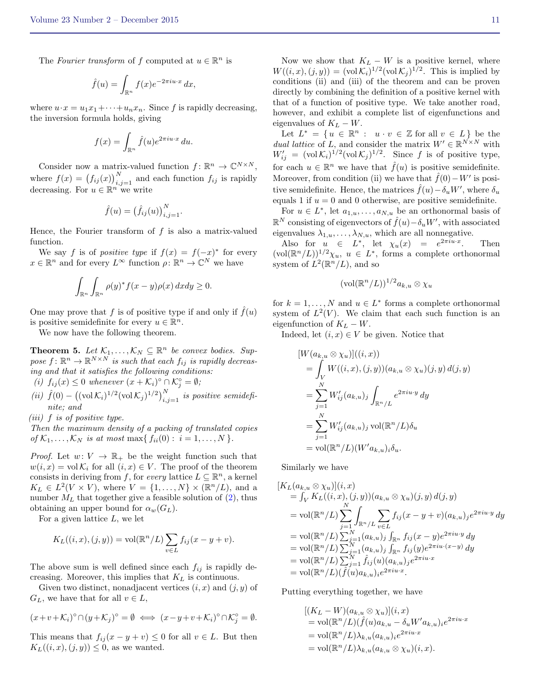The Fourier transform of f computed at  $u \in \mathbb{R}^n$  is

$$
\hat{f}(u) = \int_{\mathbb{R}^n} f(x)e^{-2\pi i u \cdot x} dx,
$$

where  $u \cdot x = u_1 x_1 + \cdots + u_n x_n$ . Since f is rapidly decreasing, the inversion formula holds, giving

$$
f(x) = \int_{\mathbb{R}^n} \hat{f}(u)e^{2\pi i u \cdot x} du.
$$

Consider now a matrix-valued function  $f: \mathbb{R}^n \to \mathbb{C}^{N \times N}$ , where  $f(x) = (f_{ij}(x))_{i,j=1}^N$  and each function  $f_{ij}$  is rapidly decreasing. For  $u \in \mathbb{R}^n$  we write

$$
\hat{f}(u) = (\hat{f}_{ij}(u))_{i,j=1}^N.
$$

Hence, the Fourier transform of  $f$  is also a matrix-valued function.

We say f is of positive type if  $f(x) = f(-x)^*$  for every  $x \in \mathbb{R}^n$  and for every  $L^{\infty}$  function  $\rho \colon \mathbb{R}^n \to \mathbb{C}^N$  we have

$$
\int_{\mathbb{R}^n} \int_{\mathbb{R}^n} \rho(y)^* f(x - y) \rho(x) \, dx dy \ge 0.
$$

One may prove that f is of positive type if and only if  $\hat{f}(u)$ is positive semidefinite for every  $u \in \mathbb{R}^n$ .

We now have the following theorem.

<span id="page-10-0"></span>**Theorem 5.** Let  $\mathcal{K}_1, \ldots, \mathcal{K}_N \subseteq \mathbb{R}^n$  be convex bodies. Suppose  $f: \mathbb{R}^n \to \mathbb{R}^{N \times N}$  is such that each  $f_{ij}$  is rapidly decreasing and that it satisfies the following conditions:

- (i)  $f_{ij}(x) \leq 0$  whenever  $(x + \mathcal{K}_i)^\circ \cap \mathcal{K}_j^\circ = \emptyset$ ;
- (ii)  $\hat{f}(0) ((\text{vol }\mathcal{K}_i)^{1/2} (\text{vol }\mathcal{K}_j)^{1/2})_{i,j=1}^N$  is positive semidefinite; and

(iii) f is of positive type.

Then the maximum density of a packing of translated copies of  $\mathcal{K}_1, \ldots, \mathcal{K}_N$  is at most max{  $f_{ii}(0): i = 1, \ldots, N$  }.

*Proof.* Let  $w: V \to \mathbb{R}_+$  be the weight function such that  $w(i, x) = vol \mathcal{K}_i$  for all  $(i, x) \in V$ . The proof of the theorem consists in deriving from f, for every lattice  $L \subseteq \mathbb{R}^n$ , a kernel  $K_L \in L^2(V \times V)$ , where  $V = \{1, \ldots, N\} \times (\mathbb{R}^n/L)$ , and a number  $M_L$  that together give a feasible solution of  $(2)$ , thus obtaining an upper bound for  $\alpha_w(G_L)$ .

For a given lattice  $L$ , we let

$$
K_L((i, x), (j, y)) = \text{vol}(\mathbb{R}^n/L) \sum_{v \in L} f_{ij}(x - y + v).
$$

The above sum is well defined since each  $f_{ij}$  is rapidly decreasing. Moreover, this implies that  ${\cal K}_L$  is continuous.

Given two distinct, nonadjacent vertices  $(i, x)$  and  $(j, y)$  of  $G_L$ , we have that for all  $v \in L$ ,

$$
(x+v+\mathcal{K}_i)^{\circ} \cap (y+\mathcal{K}_j)^{\circ} = \emptyset \iff (x-y+v+\mathcal{K}_i)^{\circ} \cap \mathcal{K}_j^{\circ} = \emptyset.
$$

This means that  $f_{ij}(x - y + v) \leq 0$  for all  $v \in L$ . But then  $K_L((i, x), (j, y)) \leq 0$ , as we wanted.

Now we show that  $K_L - W$  is a positive kernel, where  $W((i, x), (j, y)) = (\text{vol }\mathcal{K}_i)^{1/2} (\text{vol }\mathcal{K}_j)^{1/2}$ . This is implied by conditions (ii) and (iii) of the theorem and can be proven directly by combining the definition of a positive kernel with that of a function of positive type. We take another road, however, and exhibit a complete list of eigenfunctions and eigenvalues of  $K_L - W$ .

Let  $L^* = \{u \in \mathbb{R}^n : u \cdot v \in \mathbb{Z} \text{ for all } v \in L\}$  be the *dual lattice* of L, and consider the matrix  $W' \in \mathbb{R}^{N \times N}$  with  $W'_{ij} = (\text{vol}\,\mathcal{K}_i)^{1/2}(\text{vol}\,\mathcal{K}_j)^{1/2}$ . Since f is of positive type, for each  $u \in \mathbb{R}^n$  we have that  $\hat{f}(u)$  is positive semidefinite. Moreover, from condition (ii) we have that  $\hat{f}(0) - W'$  is positive semidefinite. Hence, the matrices  $\hat{f}(u) - \delta_u W'$ , where  $\delta_u$ equals 1 if  $u = 0$  and 0 otherwise, are positive semidefinite.

For  $u \in L^*$ , let  $a_{1,u}, \ldots, a_{N,u}$  be an orthonormal basis of  $\mathbb{R}^N$  consisting of eigenvectors of  $\hat{f}(u) - \delta_u W'$ , with associated eigenvalues  $\lambda_{1,u}, \ldots, \lambda_{N,u}$ , which are all nonnegative.

Also for  $u \in L^*$ , let  $\chi_u(x) = e^{2\pi i u \cdot x}$ . Then  $(\text{vol}(\mathbb{R}^n/L))^{1/2}\chi_u, u \in L^*$ , forms a complete orthonormal system of  $L^2(\mathbb{R}^n/L)$ , and so

$$
(\text{vol}(\mathbb{R}^n/L))^{1/2}a_{k,u}\otimes \chi_u
$$

for  $k = 1, ..., N$  and  $u \in L^*$  forms a complete orthonormal system of  $L^2(V)$ . We claim that each such function is an eigenfunction of  $K_L - W$ .

Indeed, let  $(i, x) \in V$  be given. Notice that

$$
[W(a_{k,u} \otimes \chi_u)]((i,x))
$$
  
=  $\int_V W((i,x),(j,y))(a_{k,u} \otimes \chi_u)(j,y) d(j,y)$   
=  $\sum_{j=1}^N W'_{ij}(a_{k,u})_j \int_{\mathbb{R}^n/L} e^{2\pi i u \cdot y} dy$   
=  $\sum_{j=1}^N W'_{ij}(a_{k,u})_j \text{vol}(\mathbb{R}^n/L) \delta_u$   
=  $\text{vol}(\mathbb{R}^n/L)(W' a_{k,u})_i \delta_u.$ 

Similarly we have

$$
[K_{L}(a_{k,u} \otimes \chi_{u})](i,x)
$$
  
=  $\int_{V} K_{L}((i,x), (j,y))(a_{k,u} \otimes \chi_{u})(j,y) d(j,y)$   
= vol( $\mathbb{R}^{n}/L$ ) $\sum_{j=1}^{N} \int_{\mathbb{R}^{n}/L} \sum_{v \in L} f_{ij}(x - y + v)(a_{k,u})_{j} e^{2\pi i u \cdot y} dy$   
= vol( $\mathbb{R}^{n}/L$ ) $\sum_{j=1}^{N} (a_{k,u})_{j} \int_{\mathbb{R}^{n}} f_{ij}(x - y) e^{2\pi i u \cdot y} dy$   
= vol( $\mathbb{R}^{n}/L$ ) $\sum_{j=1}^{N} (a_{k,u})_{j} \int_{\mathbb{R}^{n}} f_{ij}(y) e^{2\pi i u \cdot (x - y)} dy$   
= vol( $\mathbb{R}^{n}/L$ ) $\sum_{j=1}^{N} \hat{f}_{ij}(u)(a_{k,u})_{j} e^{2\pi i u \cdot x}$   
= vol( $\mathbb{R}^{n}/L$ )( $\hat{f}(u)a_{k,u}$ ) $e^{2\pi i u \cdot x}$ .

Putting everything together, we have

$$
[(K_L - W)(a_{k,u} \otimes \chi_u)](i, x)
$$
  
= vol( $\mathbb{R}^n/L$ )( $\hat{f}(u)a_{k,u} - \delta_u W' a_{k,u}$ )<sub>i</sub>e<sup>2\pi i u \cdot x</sup>  
= vol( $\mathbb{R}^n/L$ ) $\lambda_{k,u}$ ( $a_{k,u}$ )<sub>i</sub>e<sup>2\pi i u \cdot x</sup>  
= vol( $\mathbb{R}^n/L$ ) $\lambda_{k,u}$ ( $a_{k,u} \otimes \chi_u$ )( $i, x$ ).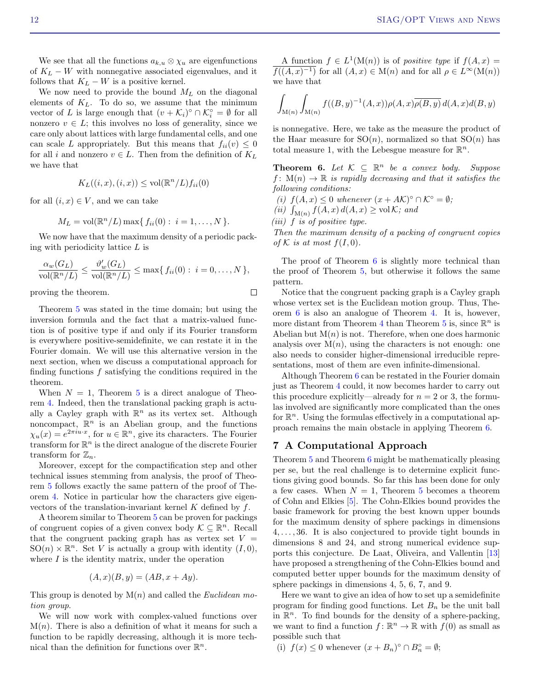We see that all the functions  $a_{k,u} \otimes \chi_u$  are eigenfunctions of  $K_L - W$  with nonnegative associated eigenvalues, and it follows that  $K_L - W$  is a positive kernel.

We now need to provide the bound  $M_L$  on the diagonal elements of  $K_L$ . To do so, we assume that the minimum vector of L is large enough that  $(v + \mathcal{K}_i)^\circ \cap \mathcal{K}_i^\circ = \emptyset$  for all nonzero  $v \in L$ ; this involves no loss of generality, since we care only about lattices with large fundamental cells, and one can scale L appropriately. But this means that  $f_{ii}(v) \leq 0$ for all i and nonzero  $v \in L$ . Then from the definition of  $K_L$ we have that

$$
K_L((i, x), (i, x)) \le \text{vol}(\mathbb{R}^n/L) f_{ii}(0)
$$

for all  $(i, x) \in V$ , and we can take

$$
M_L = vol(\mathbb{R}^n/L) \max\{f_{ii}(0): i = 1, ..., N\}.
$$

We now have that the maximum density of a periodic packing with periodicity lattice  $L$  is

$$
\frac{\alpha_w(G_L)}{\text{vol}(\mathbb{R}^n/L)} \le \frac{\vartheta'_w(G_L)}{\text{vol}(\mathbb{R}^n/L)} \le \max\{f_{ii}(0): i = 0,\ldots,N\},\
$$

proving the theorem.

Theorem [5](#page-10-0) was stated in the time domain; but using the inversion formula and the fact that a matrix-valued function is of positive type if and only if its Fourier transform is everywhere positive-semidefinite, we can restate it in the Fourier domain. We will use this alternative version in the next section, when we discuss a computational approach for finding functions  $f$  satisfying the conditions required in the theorem.

When  $N = 1$ , Theorem [5](#page-10-0) is a direct analogue of Theorem [4.](#page-8-2) Indeed, then the translational packing graph is actually a Cayley graph with  $\mathbb{R}^n$  as its vertex set. Although noncompact,  $\mathbb{R}^n$  is an Abelian group, and the functions  $\chi_u(x) = e^{2\pi i u \cdot x}$ , for  $u \in \mathbb{R}^n$ , give its characters. The Fourier transform for  $\mathbb{R}^n$  is the direct analogue of the discrete Fourier transform for  $\mathbb{Z}_n$ .

Moreover, except for the compactification step and other technical issues stemming from analysis, the proof of Theorem [5](#page-10-0) follows exactly the same pattern of the proof of Theorem [4.](#page-8-2) Notice in particular how the characters give eigenvectors of the translation-invariant kernel  $K$  defined by  $f$ .

A theorem similar to Theorem [5](#page-10-0) can be proven for packings of congruent copies of a given convex body  $\mathcal{K} \subseteq \mathbb{R}^n$ . Recall that the congruent packing graph has as vertex set  $V =$  $SO(n) \times \mathbb{R}^n$ . Set V is actually a group with identity  $(I, 0)$ , where  $I$  is the identity matrix, under the operation

$$
(A, x)(B, y) = (AB, x + Ay).
$$

This group is denoted by  $M(n)$  and called the *Euclidean mo*tion group.

We will now work with complex-valued functions over  $M(n)$ . There is also a definition of what it means for such a function to be rapidly decreasing, although it is more technical than the definition for functions over  $\mathbb{R}^n$ .

A function  $f \in L^1(\mathcal{M}(n))$  is of positive type if  $f(A, x) =$  $f((A, x)^{-1})$  for all  $(A, x) \in M(n)$  and for all  $\rho \in L^{\infty}(M(n))$ we have that

$$
\int_{\mathcal{M}(n)} \int_{\mathcal{M}(n)} f((B, y)^{-1}(A, x)) \rho(A, x) \overline{\rho(B, y)} d(A, x) d(B, y)
$$

is nonnegative. Here, we take as the measure the product of the Haar measure for  $SO(n)$ , normalized so that  $SO(n)$  has total measure 1, with the Lebesgue measure for  $\mathbb{R}^n$ .

<span id="page-11-0"></span>**Theorem 6.** Let  $K \subseteq \mathbb{R}^n$  be a convex body. Suppose  $f: M(n) \to \mathbb{R}$  is rapidly decreasing and that it satisfies the following conditions:

(i)  $f(A, x) \leq 0$  whenever  $(x + AK)^{\circ} \cap K^{\circ} = \emptyset$ ;

(ii)  $\int_{M(n)} f(A, x) d(A, x) \ge \text{vol } \mathcal{K}$ ; and

(iii) f is of positive type.

 $\Box$ 

Then the maximum density of a packing of congruent copies of K is at most  $f(I, 0)$ .

The proof of Theorem [6](#page-11-0) is slightly more technical than the proof of Theorem [5,](#page-10-0) but otherwise it follows the same pattern.

Notice that the congruent packing graph is a Cayley graph whose vertex set is the Euclidean motion group. Thus, Theorem [6](#page-11-0) is also an analogue of Theorem [4.](#page-8-2) It is, however, more distant from Theorem [4](#page-8-2) than Theorem [5](#page-10-0) is, since  $\mathbb{R}^n$  is Abelian but  $M(n)$  is not. Therefore, when one does harmonic analysis over  $M(n)$ , using the characters is not enough: one also needs to consider higher-dimensional irreducible representations, most of them are even infinite-dimensional.

Although Theorem [6](#page-11-0) can be restated in the Fourier domain just as Theorem [4](#page-8-2) could, it now becomes harder to carry out this procedure explicitly—already for  $n = 2$  or 3, the formulas involved are significantly more complicated than the ones for  $\mathbb{R}^n$ . Using the formulas effectively in a computational approach remains the main obstacle in applying Theorem [6.](#page-11-0)

### 7 A Computational Approach

Theorem [5](#page-10-0) and Theorem [6](#page-11-0) might be mathematically pleasing per se, but the real challenge is to determine explicit functions giving good bounds. So far this has been done for only a few cases. When  $N = 1$ , Theorem [5](#page-10-0) becomes a theorem of Cohn and Elkies [\[5\]](#page-13-3). The Cohn-Elkies bound provides the basic framework for proving the best known upper bounds for the maximum density of sphere packings in dimensions  $4, \ldots, 36$ . It is also conjectured to provide tight bounds in dimensions 8 and 24, and strong numerical evidence supports this conjecture. De Laat, Oliveira, and Vallentin [\[13\]](#page-13-5) have proposed a strengthening of the Cohn-Elkies bound and computed better upper bounds for the maximum density of sphere packings in dimensions 4, 5, 6, 7, and 9.

Here we want to give an idea of how to set up a semidefinite program for finding good functions. Let  $B_n$  be the unit ball in  $\mathbb{R}^n$ . To find bounds for the density of a sphere-packing, we want to find a function  $f: \mathbb{R}^n \to \mathbb{R}$  with  $f(0)$  as small as possible such that

(i)  $f(x) \leq 0$  whenever  $(x + B_n)^\circ \cap B_n^\circ = \emptyset$ ;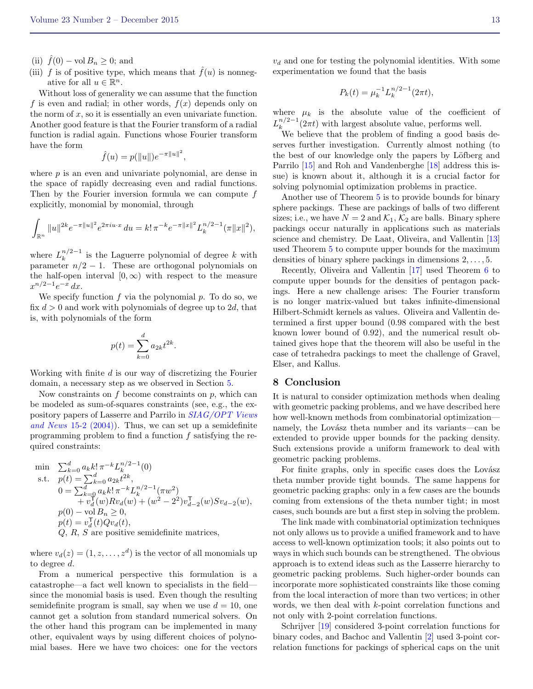- (ii)  $\hat{f}(0) \text{vol} B_n \geq 0$ ; and
- (iii) f is of positive type, which means that  $\hat{f}(u)$  is nonnegative for all  $u \in \mathbb{R}^n$ .

Without loss of generality we can assume that the function f is even and radial; in other words,  $f(x)$  depends only on the norm of  $x$ , so it is essentially an even univariate function. Another good feature is that the Fourier transform of a radial function is radial again. Functions whose Fourier transform have the form

$$
\hat{f}(u) = p(||u||)e^{-\pi ||u||^2},
$$

where  $p$  is an even and univariate polynomial, are dense in the space of rapidly decreasing even and radial functions. Then by the Fourier inversion formula we can compute  $f$ explicitly, monomial by monomial, through

$$
\int_{\mathbb{R}^n} \|u\|^{2k} e^{-\pi \|u\|^2} e^{2\pi i u \cdot x} du = k! \pi^{-k} e^{-\pi \|x\|^2} L_k^{n/2-1}(\pi \|x\|^2),
$$

where  $L_k^{n/2-1}$  $\binom{n}{k}$  is the Laguerre polynomial of degree k with parameter  $n/2 - 1$ . These are orthogonal polynomials on the half-open interval  $[0, \infty)$  with respect to the measure  $x^{n/2-1}e^{-x} dx$ .

We specify function  $f$  via the polynomial  $p$ . To do so, we fix  $d > 0$  and work with polynomials of degree up to 2d, that is, with polynomials of the form

$$
p(t) = \sum_{k=0}^{d} a_{2k} t^{2k}
$$

.

Working with finite  $d$  is our way of discretizing the Fourier domain, a necessary step as we observed in Section [5.](#page-7-2)

Now constraints on  $f$  become constraints on  $p$ , which can be modeled as sum-of-squares constraints (see, e.g., the expository papers of Lasserre and Parrilo in [SIAG/OPT Views](http://www.mcs.anl.gov/~leyffer/views/15-2.pdf) and News [15-2 \(2004\)\)](http://www.mcs.anl.gov/~leyffer/views/15-2.pdf). Thus, we can set up a semidefinite programming problem to find a function  $f$  satisfying the required constraints:

min 
$$
\sum_{k=0}^{d} a_{k}k! \pi^{-k} L_{k}^{n/2-1}(0)
$$
  
s.t.  $p(t) = \sum_{k=0}^{d} a_{2k}t^{2k}$ ,  

$$
0 = \sum_{k=0}^{d} a_{k}k! \pi^{-k} L_{k}^{n/2-1}(\pi w^{2})
$$

$$
+ v_{d}^{T}(w)Rv_{d}(w) + (w^{2} - 2^{2})v_{d-2}^{T}(w)Sv_{d-2}(w),
$$

$$
p(0) - \text{vol } B_{n} \geq 0,
$$

$$
p(t) = v_{d}^{T}(t)Qu_{d}(t),
$$

$$
Q, R, S \text{ are positive semidefinite matrices,}
$$

where  $v_d(z) = (1, z, \dots, z^d)$  is the vector of all monomials up to degree d.

From a numerical perspective this formulation is a catastrophe—a fact well known to specialists in the field since the monomial basis is used. Even though the resulting semidefinite program is small, say when we use  $d = 10$ , one cannot get a solution from standard numerical solvers. On the other hand this program can be implemented in many other, equivalent ways by using different choices of polynomial bases. Here we have two choices: one for the vectors

 $v<sub>d</sub>$  and one for testing the polynomial identities. With some experimentation we found that the basis

$$
P_k(t) = \mu_k^{-1} L_k^{n/2 - 1}(2\pi t),
$$

where  $\mu_k$  is the absolute value of the coefficient of  $L_k^{n/2-1}$  $\int_{k}^{n/2-1} (2\pi t)$  with largest absolute value, performs well.

We believe that the problem of finding a good basis deserves further investigation. Currently almost nothing (to the best of our knowledge only the papers by Löfberg and Parrilo [\[15\]](#page-13-21) and Roh and Vandenberghe [\[18\]](#page-13-22) address this issue) is known about it, although it is a crucial factor for solving polynomial optimization problems in practice.

Another use of Theorem [5](#page-10-0) is to provide bounds for binary sphere packings. These are packings of balls of two different sizes; i.e., we have  $N = 2$  and  $\mathcal{K}_1, \mathcal{K}_2$  are balls. Binary sphere packings occur naturally in applications such as materials science and chemistry. De Laat, Oliveira, and Vallentin [\[13\]](#page-13-5) used Theorem [5](#page-10-0) to compute upper bounds for the maximum densities of binary sphere packings in dimensions 2, . . . , 5.

Recently, Oliveira and Vallentin [\[17\]](#page-13-6) used Theorem [6](#page-11-0) to compute upper bounds for the densities of pentagon packings. Here a new challenge arises: The Fourier transform is no longer matrix-valued but takes infinite-dimensional Hilbert-Schmidt kernels as values. Oliveira and Vallentin determined a first upper bound (0.98 compared with the best known lower bound of 0.92), and the numerical result obtained gives hope that the theorem will also be useful in the case of tetrahedra packings to meet the challenge of Gravel, Elser, and Kallus.

### <span id="page-12-0"></span>8 Conclusion

It is natural to consider optimization methods when dealing with geometric packing problems, and we have described here how well-known methods from combinatorial optimization namely, the Lovász theta number and its variants—can be extended to provide upper bounds for the packing density. Such extensions provide a uniform framework to deal with geometric packing problems.

For finite graphs, only in specific cases does the Lovász theta number provide tight bounds. The same happens for geometric packing graphs: only in a few cases are the bounds coming from extensions of the theta number tight; in most cases, such bounds are but a first step in solving the problem.

The link made with combinatorial optimization techniques not only allows us to provide a unified framework and to have access to well-known optimization tools; it also points out to ways in which such bounds can be strengthened. The obvious approach is to extend ideas such as the Lasserre hierarchy to geometric packing problems. Such higher-order bounds can incorporate more sophisticated constraints like those coming from the local interaction of more than two vertices; in other words, we then deal with k-point correlation functions and not only with 2-point correlation functions.

Schrijver [\[19\]](#page-13-1) considered 3-point correlation functions for binary codes, and Bachoc and Vallentin [\[2\]](#page-13-2) used 3-point correlation functions for packings of spherical caps on the unit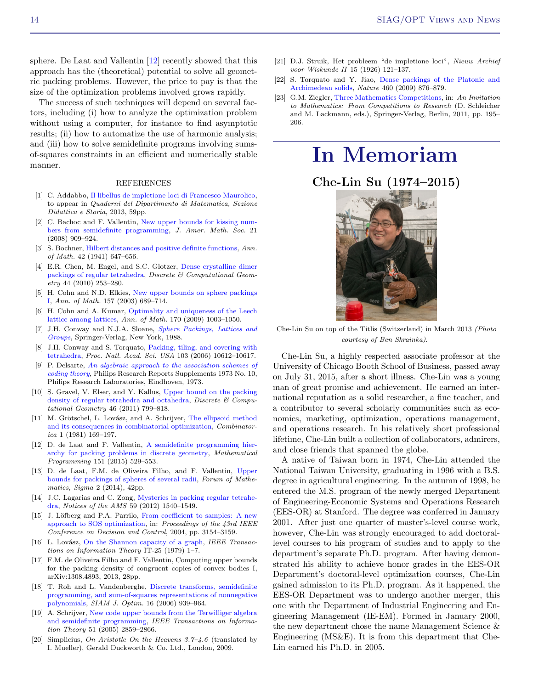sphere. De Laat and Vallentin [\[12\]](#page-13-23) recently showed that this approach has the (theoretical) potential to solve all geometric packing problems. However, the price to pay is that the size of the optimization problems involved grows rapidly.

The success of such techniques will depend on several factors, including (i) how to analyze the optimization problem without using a computer, for instance to find asymptotic results; (ii) how to automatize the use of harmonic analysis; and (iii) how to solve semidefinite programs involving sumsof-squares constraints in an efficient and numerically stable manner.

#### REFERENCES

- <span id="page-13-9"></span>[1] C. Addabbo, [Il libellus de impletione loci di Francesco Maurolico,](https://etd.adm.unipi.it/t/etd-04072015-151758/) to appear in Quaderni del Dipartimento di Matematica, Sezione Didattica e Storia, 2013, 59pp.
- <span id="page-13-2"></span>[2] C. Bachoc and F. Vallentin, [New upper bounds for kissing num](http://dx.doi.org/10.1090/S0894-0347-07-00589-9)[bers from semidefinite programming,](http://dx.doi.org/10.1090/S0894-0347-07-00589-9) J. Amer. Math. Soc. 21 (2008) 909–924.
- <span id="page-13-19"></span>[3] S. Bochner, [Hilbert distances and positive definite functions,](http://dx.doi.org/10.2307/1969252) Ann. of Math. 42 (1941) 647–656.
- <span id="page-13-14"></span>[4] E.R. Chen, M. Engel, and S.C. Glotzer, [Dense crystalline dimer](http://dx.doi.org/ 10.1007/s00454-010-9273-0) [packings of regular tetrahedra,](http://dx.doi.org/ 10.1007/s00454-010-9273-0) Discrete & Computational Geometry 44 (2010) 253–280.
- <span id="page-13-3"></span>[5] H. Cohn and N.D. Elkies, [New upper bounds on sphere packings](http://dx.doi.org/10.4007/annals.2003.157.689) [I,](http://dx.doi.org/10.4007/annals.2003.157.689) Ann. of Math. 157 (2003) 689–714.
- <span id="page-13-4"></span>[6] H. Cohn and A. Kumar, [Optimality and uniqueness of the Leech](http://dx.doi.org/10.4007/annals.2009.170.1003) [lattice among lattices,](http://dx.doi.org/10.4007/annals.2009.170.1003) Ann. of Math. 170 (2009) 1003–1050.
- <span id="page-13-7"></span>[7] J.H. Conway and N.J.A. Sloane, [Sphere Packings, Lattices and](http://dx.doi.org/10.1007/978-1-4757-2016-7) [Groups](http://dx.doi.org/10.1007/978-1-4757-2016-7), Springer-Verlag, New York, 1988.
- <span id="page-13-12"></span>[8] J.H. Conway and S. Torquato, [Packing, tiling, and covering with](http://dx.doi.org/10.1073/pnas.0601389103) [tetrahedra,](http://dx.doi.org/10.1073/pnas.0601389103) Proc. Natl. Acad. Sci. USA 103 (2006) 10612–10617.
- <span id="page-13-20"></span>[9] P. Delsarte, [An algebraic approach to the association schemes of](http://users.wpi.edu/~martin/RESEARCH/philips.pdf) [coding theory](http://users.wpi.edu/~martin/RESEARCH/philips.pdf), Philips Research Reports Supplements 1973 No. 10, Philips Research Laboratories, Eindhoven, 1973.
- <span id="page-13-15"></span>[10] S. Gravel, V. Elser, and Y. Kallus, [Upper bound on the packing](http://dx.doi.org/10.1007/s00454-010-9304-x) [density of regular tetrahedra and octahedra,](http://dx.doi.org/10.1007/s00454-010-9304-x) Discrete & Computational Geometry 46 (2011) 799–818.
- <span id="page-13-18"></span>[11] M. Grötschel, L. Lovász, and A. Schrijver, [The ellipsoid method](http://dx.doi.org/10.1007/BF02579273) [and its consequences in combinatorial optimization,](http://dx.doi.org/10.1007/BF02579273) Combinatorica 1 (1981) 169–197.
- <span id="page-13-23"></span>[12] D. de Laat and F. Vallentin, [A semidefinite programming hier](http://dx.doi.org/10.1007/s10107-014-0843-4)[archy for packing problems in discrete geometry,](http://dx.doi.org/10.1007/s10107-014-0843-4) Mathematical Programming 151 (2015) 529–553.
- <span id="page-13-5"></span>[13] D. de Laat, F.M. de Oliveira Filho, and F. Vallentin, [Upper](http://dx.doi.org/10.1017/fms.2014.24) [bounds for packings of spheres of several radii,](http://dx.doi.org/10.1017/fms.2014.24) Forum of Mathematics, Sigma 2 (2014), 42pp.
- <span id="page-13-11"></span>[14] J.C. Lagarias and C. Zong, [Mysteries in packing regular tetrahe](http://www.ams.org/notices/201211/rtx121101540p.pdf)[dra,](http://www.ams.org/notices/201211/rtx121101540p.pdf) Notices of the AMS 59 (2012) 1540–1549.
- <span id="page-13-21"></span>[15] J. Löfberg and P.A. Parrilo, [From coefficient to samples: A new](http://dx.doi.org/10.1109/CDC.2004.1428957) [approach to SOS optimization,](http://dx.doi.org/10.1109/CDC.2004.1428957) in: Proceedings of the 43rd IEEE Conference on Decision and Control, 2004, pp. 3154–3159.
- <span id="page-13-17"></span>[16] L. Lovász, [On the Shannon capacity of a graph,](http://dx.doi.org/10.1109/TIT.1979.1055985) IEEE Transactions on Information Theory IT-25 (1979) 1–7.
- <span id="page-13-6"></span>[17] F.M. de Oliveira Filho and F. Vallentin, Computing upper bounds for the packing density of congruent copies of convex bodies I, arXiv:1308.4893, 2013, 28pp.
- <span id="page-13-22"></span>[18] T. Roh and L. Vandenberghe, [Discrete transforms, semidefinite](http://dx.doi.org/10.1137/040612646) [programming, and sum-of-squares representations of nonnegative](http://dx.doi.org/10.1137/040612646) [polynomials,](http://dx.doi.org/10.1137/040612646) SIAM J. Optim. 16 (2006) 939–964.
- <span id="page-13-1"></span>[19] A. Schrijver, [New code upper bounds from the Terwilliger algebra](http://dx.doi.org/10.1109/TIT.2005.851748) [and semidefinite programming,](http://dx.doi.org/10.1109/TIT.2005.851748) IEEE Transactions on Information Theory 51 (2005) 2859–2866.
- <span id="page-13-8"></span>[20] Simplicius, On Aristotle On the Heavens 3.7–4.6 (translated by I. Mueller), Gerald Duckworth & Co. Ltd., London, 2009.
- <span id="page-13-10"></span>[21] D.J. Struik, Het probleem "de impletione loci", Nieuw Archief voor Wiskunde II 15 (1926) 121–137.
- <span id="page-13-16"></span>[22] S. Torquato and Y. Jiao, [Dense packings of the Platonic and](http://dx.doi.org/10.1038/nature08239) [Archimedean solids,](http://dx.doi.org/10.1038/nature08239) Nature 460 (2009) 876–879.
- <span id="page-13-13"></span>[23] G.M. Ziegler, [Three Mathematics Competitions,](http://dx.doi.org/10.1007/978-3-642-19533-4_13) in: An Invitation to Mathematics: From Competitions to Research (D. Schleicher and M. Lackmann, eds.), Springer-Verlag, Berlin, 2011, pp. 195– 206.

# <span id="page-13-0"></span>In Memoriam

# Che-Lin Su (1974–2015)



Che-Lin Su on top of the Titlis (Switzerland) in March 2013 (Photo courtesy of Ben Skrainka).

Che-Lin Su, a highly respected associate professor at the University of Chicago Booth School of Business, passed away on July 31, 2015, after a short illness. Che-Lin was a young man of great promise and achievement. He earned an international reputation as a solid researcher, a fine teacher, and a contributor to several scholarly communities such as economics, marketing, optimization, operations management, and operations research. In his relatively short professional lifetime, Che-Lin built a collection of collaborators, admirers, and close friends that spanned the globe.

A native of Taiwan born in 1974, Che-Lin attended the National Taiwan University, graduating in 1996 with a B.S. degree in agricultural engineering. In the autumn of 1998, he entered the M.S. program of the newly merged Department of Engineering-Economic Systems and Operations Research (EES-OR) at Stanford. The degree was conferred in January 2001. After just one quarter of master's-level course work, however, Che-Lin was strongly encouraged to add doctorallevel courses to his program of studies and to apply to the department's separate Ph.D. program. After having demonstrated his ability to achieve honor grades in the EES-OR Department's doctoral-level optimization courses, Che-Lin gained admission to its Ph.D. program. As it happened, the EES-OR Department was to undergo another merger, this one with the Department of Industrial Engineering and Engineering Management (IE-EM). Formed in January 2000, the new department chose the name Management Science & Engineering (MS&E). It is from this department that Che-Lin earned his Ph.D. in 2005.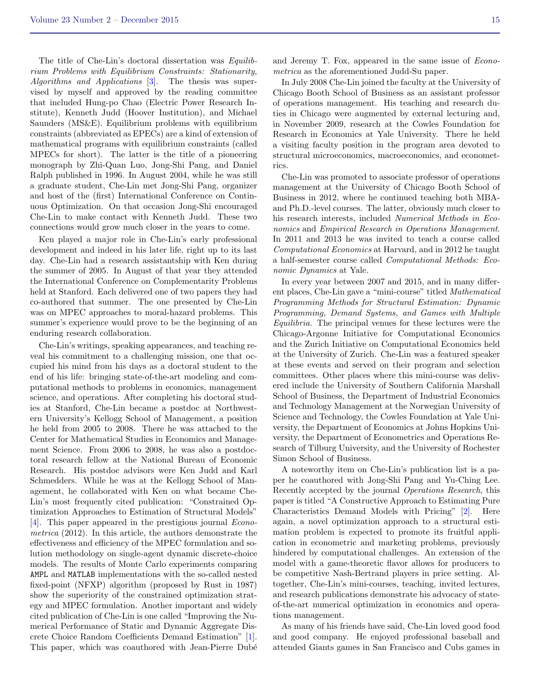The title of Che-Lin's doctoral dissertation was Equilibrium Problems with Equilibrium Constraints: Stationarity, Algorithms and Applications [\[3\]](#page-15-1). The thesis was supervised by myself and approved by the reading committee that included Hung-po Chao (Electric Power Research Institute), Kenneth Judd (Hoover Institution), and Michael Saunders (MS&E). Equilibrium problems with equilibrium constraints (abbreviated as EPECs) are a kind of extension of mathematical programs with equilibrium constraints (called MPECs for short). The latter is the title of a pioneering monograph by Zhi-Quan Luo, Jong-Shi Pang, and Daniel Ralph published in 1996. In August 2004, while he was still a graduate student, Che-Lin met Jong-Shi Pang, organizer and host of the (first) International Conference on Continuous Optimization. On that occasion Jong-Shi encouraged Che-Lin to make contact with Kenneth Judd. These two connections would grow much closer in the years to come.

Ken played a major role in Che-Lin's early professional development and indeed in his later life, right up to its last day. Che-Lin had a research assistantship with Ken during the summer of 2005. In August of that year they attended the International Conference on Complementarity Problems held at Stanford. Each delivered one of two papers they had co-authored that summer. The one presented by Che-Lin was on MPEC approaches to moral-hazard problems. This summer's experience would prove to be the beginning of an enduring research collaboration.

Che-Lin's writings, speaking appearances, and teaching reveal his commitment to a challenging mission, one that occupied his mind from his days as a doctoral student to the end of his life: bringing state-of-the-art modeling and computational methods to problems in economics, management science, and operations. After completing his doctoral studies at Stanford, Che-Lin became a postdoc at Northwestern University's Kellogg School of Management, a position he held from 2005 to 2008. There he was attached to the Center for Mathematical Studies in Economics and Management Science. From 2006 to 2008, he was also a postdoctoral research fellow at the National Bureau of Economic Research. His postdoc advisors were Ken Judd and Karl Schmedders. While he was at the Kellogg School of Management, he collaborated with Ken on what became Che-Lin's most frequently cited publication: "Constrained Optimization Approaches to Estimation of Structural Models" [\[4\]](#page-15-2). This paper appeared in the prestigious journal Econometrica (2012). In this article, the authors demonstrate the effectiveness and efficiency of the MPEC formulation and solution methodology on single-agent dynamic discrete-choice models. The results of Monte Carlo experiments comparing AMPL and MATLAB implementations with the so-called nested fixed-point (NFXP) algorithm (proposed by Rust in 1987) show the superiority of the constrained optimization strategy and MPEC formulation. Another important and widely cited publication of Che-Lin is one called "Improving the Numerical Performance of Static and Dynamic Aggregate Discrete Choice Random Coefficients Demand Estimation" [\[1\]](#page-15-3). This paper, which was coauthored with Jean-Pierre Dubé

In July 2008 Che-Lin joined the faculty at the University of Chicago Booth School of Business as an assistant professor of operations management. His teaching and research duties in Chicago were augmented by external lecturing and, in November 2009, research at the Cowles Foundation for Research in Economics at Yale University. There he held a visiting faculty position in the program area devoted to structural microeconomics, macroeconomics, and econometrics.

Che-Lin was promoted to associate professor of operations management at the University of Chicago Booth School of Business in 2012, where he continued teaching both MBAand Ph.D.-level courses. The latter, obviously much closer to his research interests, included Numerical Methods in Economics and Empirical Research in Operations Management. In 2011 and 2013 he was invited to teach a course called Computational Economics at Harvard, and in 2012 he taught a half-semester course called Computational Methods: Economic Dynamics at Yale.

In every year between 2007 and 2015, and in many different places, Che-Lin gave a "mini-course" titled Mathematical Programming Methods for Structural Estimation: Dynamic Programming, Demand Systems, and Games with Multiple Equilibria. The principal venues for these lectures were the Chicago-Argonne Initiative for Computational Economics and the Zurich Initiative on Computational Economics held at the University of Zurich. Che-Lin was a featured speaker at these events and served on their program and selection committees. Other places where this mini-course was delivered include the University of Southern California Marshall School of Business, the Department of Industrial Economics and Technology Management at the Norwegian University of Science and Technology, the Cowles Foundation at Yale University, the Department of Economics at Johns Hopkins University, the Department of Econometrics and Operations Research of Tilburg University, and the University of Rochester Simon School of Business.

A noteworthy item on Che-Lin's publication list is a paper he coauthored with Jong-Shi Pang and Yu-Ching Lee. Recently accepted by the journal Operations Research, this paper is titled "A Constructive Approach to Estimating Pure Characteristics Demand Models with Pricing" [\[2\]](#page-15-4). Here again, a novel optimization approach to a structural estimation problem is expected to promote its fruitful application in econometric and marketing problems, previously hindered by computational challenges. An extension of the model with a game-theoretic flavor allows for producers to be competitive Nash-Bertrand players in price setting. Altogether, Che-Lin's mini-courses, teaching, invited lectures, and research publications demonstrate his advocacy of stateof-the-art numerical optimization in economics and operations management.

As many of his friends have said, Che-Lin loved good food and good company. He enjoyed professional baseball and attended Giants games in San Francisco and Cubs games in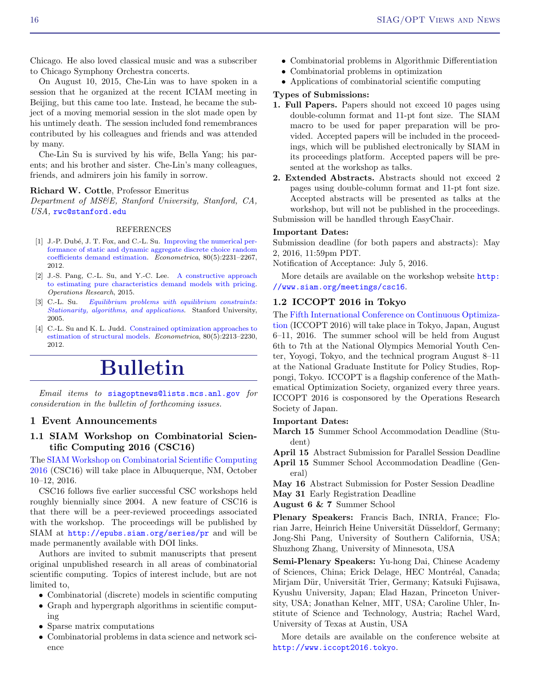Chicago. He also loved classical music and was a subscriber to Chicago Symphony Orchestra concerts.

On August 10, 2015, Che-Lin was to have spoken in a session that he organized at the recent ICIAM meeting in Beijing, but this came too late. Instead, he became the subject of a moving memorial session in the slot made open by his untimely death. The session included fond remembrances contributed by his colleagues and friends and was attended by many.

Che-Lin Su is survived by his wife, Bella Yang; his parents; and his brother and sister. Che-Lin's many colleagues, friends, and admirers join his family in sorrow.

### Richard W. Cottle, Professor Emeritus

Department of MS&E, Stanford University, Stanford, CA, USA, <rwc@stanford.edu>

#### REFERENCES

- <span id="page-15-3"></span>[1] J.-P. Dubé, J. T. Fox, and C.-L. Su. [Improving the numerical per](http://dx.doi.org/10.3982/ECTA8585)[formance of static and dynamic aggregate discrete choice random](http://dx.doi.org/10.3982/ECTA8585) [coefficients demand estimation.](http://dx.doi.org/10.3982/ECTA8585) Econometrica, 80(5):2231–2267, 2012.
- <span id="page-15-4"></span>[2] J.-S. Pang, C.-L. Su, and Y.-C. Lee. [A constructive approach](http://dx.doi.org/10.1287/opre.2015.1377) [to estimating pure characteristics demand models with pricing.](http://dx.doi.org/10.1287/opre.2015.1377) Operations Research, 2015.
- <span id="page-15-1"></span>[3] C.-L. Su. [Equilibrium problems with equilibrium constraints:](http://web.stanford.edu/group/SOL/dissertations/clsu-thesis.pdf) [Stationarity, algorithms, and applications](http://web.stanford.edu/group/SOL/dissertations/clsu-thesis.pdf). Stanford University, 2005.
- <span id="page-15-2"></span>[4] C.-L. Su and K. L. Judd. [Constrained optimization approaches to](http://dx.doi.org/10.3982/ECTA7925) [estimation of structural models.](http://dx.doi.org/10.3982/ECTA7925) Econometrica, 80(5):2213–2230, 2012.

# Bulletin

Email items to <siagoptnews@lists.mcs.anl.gov> for consideration in the bulletin of forthcoming issues.

### <span id="page-15-0"></span>1 Event Announcements

### 1.1 SIAM Workshop on Combinatorial Scientific Computing 2016 (CSC16)

The [SIAM Workshop on Combinatorial Scientific Computing](http://www.siam.org/meetings/csc16) [2016](http://www.siam.org/meetings/csc16) (CSC16) will take place in Albuquerque, NM, October 10–12, 2016.

CSC16 follows five earlier successful CSC workshops held roughly biennially since 2004. A new feature of CSC16 is that there will be a peer-reviewed proceedings associated with the workshop. The proceedings will be published by SIAM at <http://epubs.siam.org/series/pr> and will be made permanently available with DOI links.

Authors are invited to submit manuscripts that present original unpublished research in all areas of combinatorial scientific computing. Topics of interest include, but are not limited to,

- Combinatorial (discrete) models in scientific computing
- Graph and hypergraph algorithms in scientific computing
- Sparse matrix computations
- Combinatorial problems in data science and network science
- Combinatorial problems in Algorithmic Differentiation
- Combinatorial problems in optimization
- Applications of combinatorial scientific computing

### Types of Submissions:

- 1. Full Papers. Papers should not exceed 10 pages using double-column format and 11-pt font size. The SIAM macro to be used for paper preparation will be provided. Accepted papers will be included in the proceedings, which will be published electronically by SIAM in its proceedings platform. Accepted papers will be presented at the workshop as talks.
- 2. Extended Abstracts. Abstracts should not exceed 2 pages using double-column format and 11-pt font size. Accepted abstracts will be presented as talks at the workshop, but will not be published in the proceedings. Submission will be handled through EasyChair.

### Important Dates:

Submission deadline (for both papers and abstracts): May 2, 2016, 11:59pm PDT.

Notification of Acceptance: July 5, 2016.

More details are available on the workshop website [http:](http://www.siam.org/meetings/csc16) [//www.siam.org/meetings/csc16](http://www.siam.org/meetings/csc16).

### 1.2 ICCOPT 2016 in Tokyo

The [Fifth International Conference on Continuous Optimiza](http://www.iccopt2016.tokyo/)[tion](http://www.iccopt2016.tokyo/) (ICCOPT 2016) will take place in Tokyo, Japan, August 6–11, 2016. The summer school will be held from August 6th to 7th at the National Olympics Memorial Youth Center, Yoyogi, Tokyo, and the technical program August 8–11 at the National Graduate Institute for Policy Studies, Roppongi, Tokyo. ICCOPT is a flagship conference of the Mathematical Optimization Society, organized every three years. ICCOPT 2016 is cosponsored by the Operations Research Society of Japan.

#### Important Dates:

March 15 Summer School Accommodation Deadline (Student)

April 15 Abstract Submission for Parallel Session Deadline April 15 Summer School Accommodation Deadline (General)

May 16 Abstract Submission for Poster Session Deadline

May 31 Early Registration Deadline

August 6 & 7 Summer School

Plenary Speakers: Francis Bach, INRIA, France; Florian Jarre, Heinrich Heine Universität Düsseldorf, Germany; Jong-Shi Pang, University of Southern California, USA; Shuzhong Zhang, University of Minnesota, USA

Semi-Plenary Speakers: Yu-hong Dai, Chinese Academy of Sciences, China; Erick Delage, HEC Montréal, Canada; Mirjam Dür, Universität Trier, Germany; Katsuki Fujisawa, Kyushu University, Japan; Elad Hazan, Princeton University, USA; Jonathan Kelner, MIT, USA; Caroline Uhler, Institute of Science and Technology, Austria; Rachel Ward, University of Texas at Austin, USA

More details are available on the conference website at <http://www.iccopt2016.tokyo>.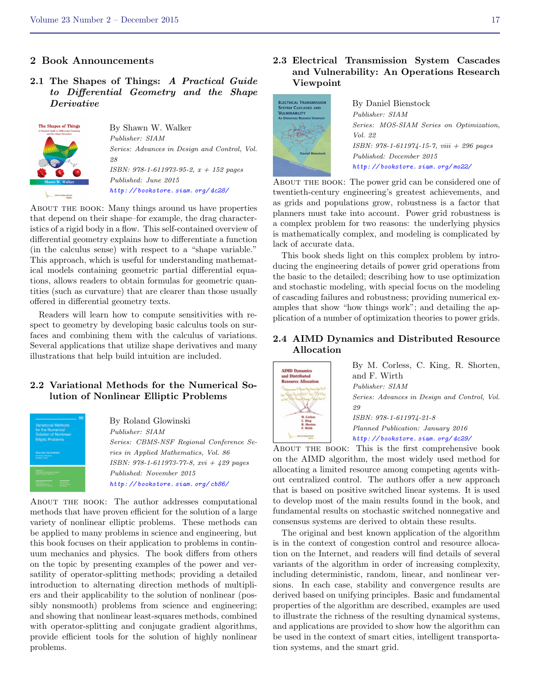### <span id="page-16-0"></span>2 Book Announcements

2.1 The Shapes of Things: A Practical Guide to Differential Geometry and the Shape Derivative



By Shawn W. Walker Publisher: SIAM Series: Advances in Design and Control, Vol. 28 ISBN: 978-1-611973-95-2, x + 152 pages Published: June 2015 [http: // bookstore. siam. org/ dc28/](http://bookstore.siam.org/dc28/)

About the book: Many things around us have properties that depend on their shape–for example, the drag characteristics of a rigid body in a flow. This self-contained overview of differential geometry explains how to differentiate a function (in the calculus sense) with respect to a "shape variable." This approach, which is useful for understanding mathematical models containing geometric partial differential equations, allows readers to obtain formulas for geometric quantities (such as curvature) that are clearer than those usually offered in differential geometry texts.

Readers will learn how to compute sensitivities with respect to geometry by developing basic calculus tools on surfaces and combining them with the calculus of variations. Several applications that utilize shape derivatives and many illustrations that help build intuition are included.

### 2.2 Variational Methods for the Numerical Solution of Nonlinear Elliptic Problems



By Roland Glowinski Publisher: SIAM Series: CBMS-NSF Regional Conference Series in Applied Mathematics, Vol. 86 ISBN: 978-1-611973-77-8, xvi + 429 pages Published: November 2015 [http: // bookstore. siam. org/ cb86/](http://bookstore.siam.org/cb86/)

About the book: The author addresses computational methods that have proven efficient for the solution of a large variety of nonlinear elliptic problems. These methods can be applied to many problems in science and engineering, but this book focuses on their application to problems in continuum mechanics and physics. The book differs from others on the topic by presenting examples of the power and versatility of operator-splitting methods; providing a detailed introduction to alternating direction methods of multipliers and their applicability to the solution of nonlinear (possibly nonsmooth) problems from science and engineering; and showing that nonlinear least-squares methods, combined with operator-splitting and conjugate gradient algorithms, provide efficient tools for the solution of highly nonlinear problems.

### 2.3 Electrical Transmission System Cascades and Vulnerability: An Operations Research Viewpoint



By Daniel Bienstock Publisher: SIAM Series: MOS-SIAM Series on Optimization, Vol. 22 ISBN: 978-1-611974-15-7, viii + 296 pages Published: December 2015 [http: // bookstore. siam. org/ mo22/](http://bookstore.siam.org/mo22/)

ABOUT THE BOOK: The power grid can be considered one of twentieth-century engineering's greatest achievements, and as grids and populations grow, robustness is a factor that planners must take into account. Power grid robustness is a complex problem for two reasons: the underlying physics is mathematically complex, and modeling is complicated by lack of accurate data.

This book sheds light on this complex problem by introducing the engineering details of power grid operations from the basic to the detailed; describing how to use optimization and stochastic modeling, with special focus on the modeling of cascading failures and robustness; providing numerical examples that show "how things work"; and detailing the application of a number of optimization theories to power grids.

### 2.4 AIMD Dynamics and Distributed Resource Allocation



By M. Corless, C. King, R. Shorten, and F. Wirth Publisher: SIAM Series: Advances in Design and Control, Vol. ISBN: 978-1-611974-21-8 Planned Publication: January 2016 [http: // bookstore. siam. org/ dc29/](http://bookstore.siam.org/dc29/)

About the book: This is the first comprehensive book on the AIMD algorithm, the most widely used method for allocating a limited resource among competing agents without centralized control. The authors offer a new approach that is based on positive switched linear systems. It is used to develop most of the main results found in the book, and fundamental results on stochastic switched nonnegative and consensus systems are derived to obtain these results.

The original and best known application of the algorithm is in the context of congestion control and resource allocation on the Internet, and readers will find details of several variants of the algorithm in order of increasing complexity, including deterministic, random, linear, and nonlinear versions. In each case, stability and convergence results are derived based on unifying principles. Basic and fundamental properties of the algorithm are described, examples are used to illustrate the richness of the resulting dynamical systems, and applications are provided to show how the algorithm can be used in the context of smart cities, intelligent transportation systems, and the smart grid.